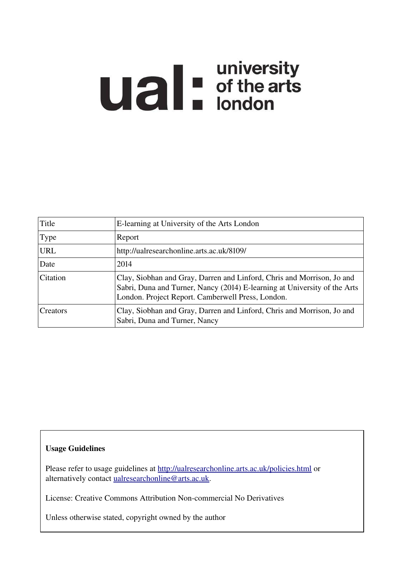# **Ual** For differents

| Title      | E-learning at University of the Arts London                                                                                                                                                              |  |
|------------|----------------------------------------------------------------------------------------------------------------------------------------------------------------------------------------------------------|--|
| Type       | Report                                                                                                                                                                                                   |  |
| <b>URL</b> | http://ualresearchonline.arts.ac.uk/8109/                                                                                                                                                                |  |
| Date       | 2014                                                                                                                                                                                                     |  |
| Citation   | Clay, Siobhan and Gray, Darren and Linford, Chris and Morrison, Jo and<br>Sabri, Duna and Turner, Nancy (2014) E-learning at University of the Arts<br>London. Project Report. Camberwell Press, London. |  |
| Creators   | Clay, Siobhan and Gray, Darren and Linford, Chris and Morrison, Jo and<br>Sabri, Duna and Turner, Nancy                                                                                                  |  |

### Usage Guidelines

Please refer to usage guidelines at<http://ualresearchonline.arts.ac.uk/policies.html>or alternatively contact [ualresearchonline@arts.ac.uk.](mailto:ualresearchonline@arts.ac.uk)

License: Creative Commons Attribution Non-commercial No Derivatives

Unless otherwise stated, copyright owned by the author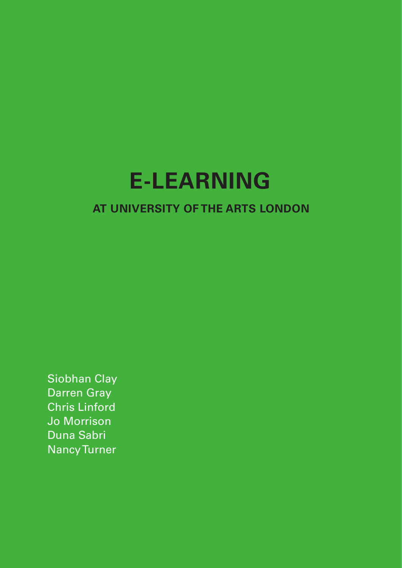# **E-LEARNING**

# **AT UNIVERSITY OF THE ARTS LONDON**

Siobhan Clay Darren Gray Chris Linford Jo Morrison Duna Sabri Nancy Turner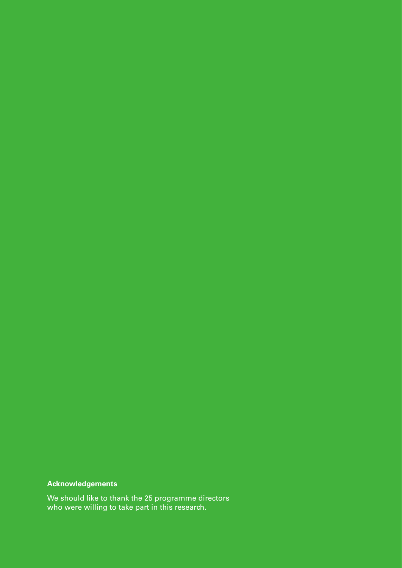### **Acknowledgements**

We should like to thank the 25 programme directors who were willing to take part in this research.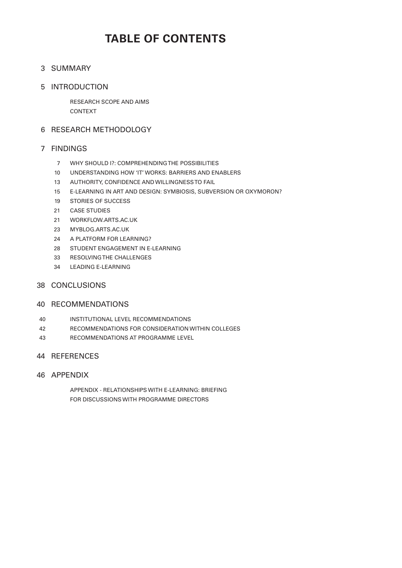# **TABLE OF CONTENTS**

### 3 SUMMARY

### 5 INTRODUCTION

RESEARCH SCOPE AND AIMS CONTEXT

### 6 RESEARCH METHODOLOGY

### FINDINGS 7

- WHY SHOULD I?: COMPREHENDING THE POSSIBILITIES 7
- UNDERSTANDING HOW 'IT' WORKS: BARRIERS AND ENABLERS 10
- AUTHORITY, CONFIDENCE AND WILLINGNESS TO FAIL 13
- E-LEARNING IN ART AND DESIGN: SYMBIOSIS, SUBVERSION OR OXYMORON? 15
- STORIES OF SUCCESS 19
- CASE STUDIES 21
- WORKFLOW.ARTS.AC.UK 21
- MYBLOG.ARTS.AC.UK 23
- 24 A PLATFORM FOR LEARNING?
- 28 STUDENT ENGAGEMENT IN E-LEARNING
- 33 RESOLVING THE CHALLENGES
- LEADING E-LEARNING 34

### 38 CONCLUSIONS

### 40 RECOMMENDATIONS

- INSTITUTIONAL LEVEL RECOMMENDATIONS 40
- RECOMMENDATIONS FOR CONSIDERATION WITHIN COLLEGES 42
- RECOMMENDATIONS AT PROGRAMME LEVEL 43

### 44 REFERENCES

### 46 APPENDIX

APPENDIX - RELATIONSHIPS WITH E-LEARNING: BRIEFING FOR DISCUSSIONS WITH PROGRAMME DIRECTORS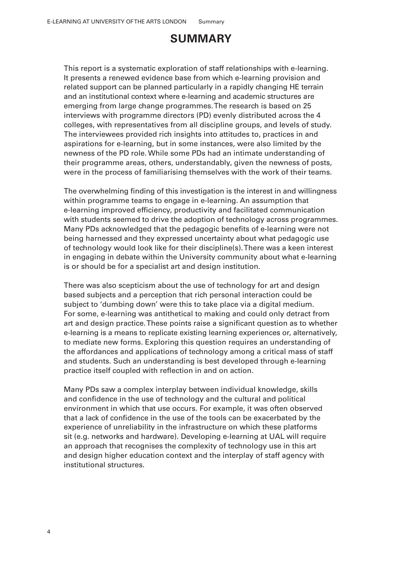# **SUMMARY**

This report is a systematic exploration of staff relationships with e-learning. It presents a renewed evidence base from which e-learning provision and related support can be planned particularly in a rapidly changing HE terrain and an institutional context where e-learning and academic structures are emerging from large change programmes. The research is based on 25 interviews with programme directors (PD) evenly distributed across the 4 colleges, with representatives from all discipline groups, and levels of study. The interviewees provided rich insights into attitudes to, practices in and aspirations for e-learning, but in some instances, were also limited by the newness of the PD role. While some PDs had an intimate understanding of their programme areas, others, understandably, given the newness of posts, were in the process of familiarising themselves with the work of their teams.

The overwhelming finding of this investigation is the interest in and willingness within programme teams to engage in e-learning. An assumption that e-learning improved eficiency, productivity and facilitated communication with students seemed to drive the adoption of technology across programmes. Many PDs acknowledged that the pedagogic beneits of e-learning were not being harnessed and they expressed uncertainty about what pedagogic use of technology would look like for their discipline(s). There was a keen interest in engaging in debate within the University community about what e-learning is or should be for a specialist art and design institution.

There was also scepticism about the use of technology for art and design based subjects and a perception that rich personal interaction could be subject to 'dumbing down' were this to take place via a digital medium. For some, e-learning was antithetical to making and could only detract from art and design practice. These points raise a signiicant question as to whether e-learning is a means to replicate existing learning experiences or, alternatively, to mediate new forms. Exploring this question requires an understanding of the affordances and applications of technology among a critical mass of staff and students. Such an understanding is best developed through e-learning practice itself coupled with reflection in and on action.

Many PDs saw a complex interplay between individual knowledge, skills and confidence in the use of technology and the cultural and political environment in which that use occurs. For example, it was often observed that a lack of conidence in the use of the tools can be exacerbated by the experience of unreliability in the infrastructure on which these platforms sit (e.g. networks and hardware). Developing e-learning at UAL will require an approach that recognises the complexity of technology use in this art and design higher education context and the interplay of staff agency with institutional structures.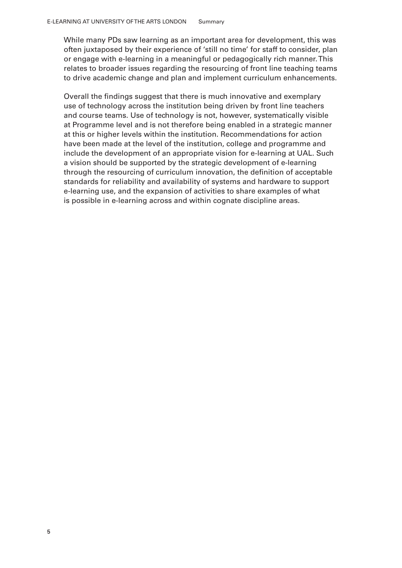While many PDs saw learning as an important area for development, this was often juxtaposed by their experience of 'still no time' for staff to consider, plan or engage with e-learning in a meaningful or pedagogically rich manner. This relates to broader issues regarding the resourcing of front line teaching teams to drive academic change and plan and implement curriculum enhancements.

Overall the indings suggest that there is much innovative and exemplary use of technology across the institution being driven by front line teachers and course teams. Use of technology is not, however, systematically visible at Programme level and is not therefore being enabled in a strategic manner at this or higher levels within the institution. Recommendations for action have been made at the level of the institution, college and programme and include the development of an appropriate vision for e-learning at UAL. Such a vision should be supported by the strategic development of e-learning through the resourcing of curriculum innovation, the definition of acceptable standards for reliability and availability of systems and hardware to support e-learning use, and the expansion of activities to share examples of what is possible in e-learning across and within cognate discipline areas.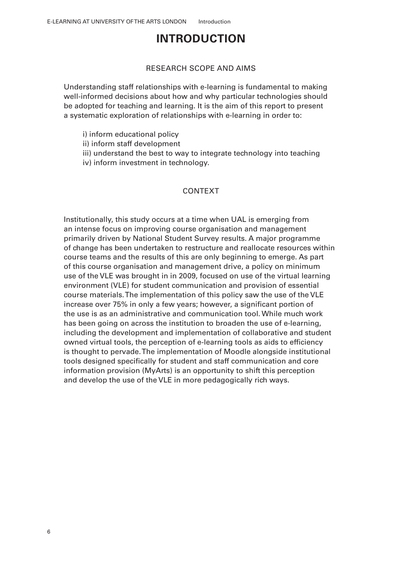# **INTRODUCTION**

### RESEARCH SCOPE AND AIMS

Understanding staff relationships with e-learning is fundamental to making well-informed decisions about how and why particular technologies should be adopted for teaching and learning. It is the aim of this report to present a systematic exploration of relationships with e-learning in order to:

- i) inform educational policy
- ii) inform staff development
- iii) understand the best to way to integrate technology into teaching
- iv) inform investment in technology.

### CONTEXT

Institutionally, this study occurs at a time when UAL is emerging from an intense focus on improving course organisation and management primarily driven by National Student Survey results. A major programme of change has been undertaken to restructure and reallocate resources within course teams and the results of this are only beginning to emerge. As part of this course organisation and management drive, a policy on minimum use of the VLE was brought in in 2009, focused on use of the virtual learning environment (VLE) for student communication and provision of essential course materials. The implementation of this policy saw the use of the VLE increase over 75% in only a few years; however, a significant portion of the use is as an administrative and communication tool. While much work has been going on across the institution to broaden the use of e-learning, including the development and implementation of collaborative and student owned virtual tools, the perception of e-learning tools as aids to eficiency is thought to pervade. The implementation of Moodle alongside institutional tools designed speciically for student and staff communication and core information provision (MyArts) is an opportunity to shift this perception and develop the use of the VLE in more pedagogically rich ways.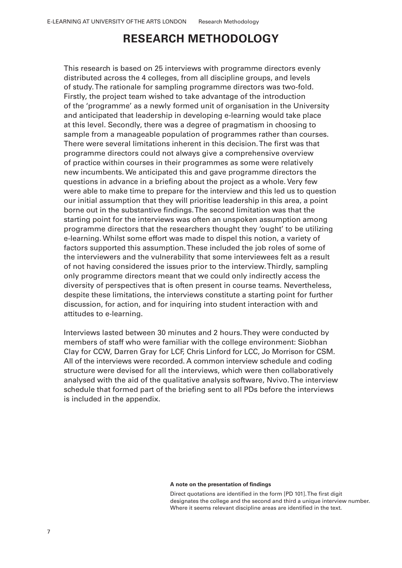# **RESEARCH METHODOLOGY**

This research is based on 25 interviews with programme directors evenly distributed across the 4 colleges, from all discipline groups, and levels of study. The rationale for sampling programme directors was two-fold. Firstly, the project team wished to take advantage of the introduction of the 'programme' as a newly formed unit of organisation in the University and anticipated that leadership in developing e-learning would take place at this level. Secondly, there was a degree of pragmatism in choosing to sample from a manageable population of programmes rather than courses. There were several limitations inherent in this decision. The first was that programme directors could not always give a comprehensive overview of practice within courses in their programmes as some were relatively new incumbents. We anticipated this and gave programme directors the questions in advance in a briefing about the project as a whole. Very few were able to make time to prepare for the interview and this led us to question our initial assumption that they will prioritise leadership in this area, a point borne out in the substantive findings. The second limitation was that the starting point for the interviews was often an unspoken assumption among programme directors that the researchers thought they 'ought' to be utilizing e-learning. Whilst some effort was made to dispel this notion, a variety of factors supported this assumption. These included the job roles of some of the interviewers and the vulnerability that some interviewees felt as a result of not having considered the issues prior to the interview. Thirdly, sampling only programme directors meant that we could only indirectly access the diversity of perspectives that is often present in course teams. Nevertheless, despite these limitations, the interviews constitute a starting point for further discussion, for action, and for inquiring into student interaction with and attitudes to e-learning.

Interviews lasted between 30 minutes and 2 hours. They were conducted by members of staff who were familiar with the college environment: Siobhan Clay for CCW, Darren Gray for LCF, Chris Linford for LCC, Jo Morrison for CSM. All of the interviews were recorded. A common interview schedule and coding structure were devised for all the interviews, which were then collaboratively analysed with the aid of the qualitative analysis software, Nvivo. The interview schedule that formed part of the briefing sent to all PDs before the interviews is included in the appendix.

### **A note on the presentation of indings**

Direct quotations are identified in the form [PD 101]. The first digit designates the college and the second and third a unique interview number. Where it seems relevant discipline areas are identified in the text.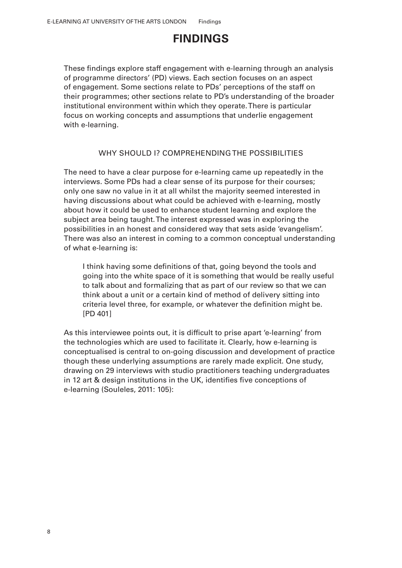# **FINDINGS**

These findings explore staff engagement with e-learning through an analysis of programme directors' (PD) views. Each section focuses on an aspect of engagement. Some sections relate to PDs' perceptions of the staff on their programmes; other sections relate to PD's understanding of the broader institutional environment within which they operate. There is particular focus on working concepts and assumptions that underlie engagement with e-learning.

### WHY SHOULD I? COMPREHENDING THE POSSIBILITIES

The need to have a clear purpose for e-learning came up repeatedly in the interviews. Some PDs had a clear sense of its purpose for their courses; only one saw no value in it at all whilst the majority seemed interested in having discussions about what could be achieved with e-learning, mostly about how it could be used to enhance student learning and explore the subject area being taught. The interest expressed was in exploring the possibilities in an honest and considered way that sets aside 'evangelism'. There was also an interest in coming to a common conceptual understanding of what e-learning is:

I think having some definitions of that, going beyond the tools and going into the white space of it is something that would be really useful to talk about and formalizing that as part of our review so that we can think about a unit or a certain kind of method of delivery sitting into criteria level three, for example, or whatever the deinition might be. [PD 401]

As this interviewee points out, it is dificult to prise apart 'e-learning' from the technologies which are used to facilitate it. Clearly, how e-learning is conceptualised is central to on-going discussion and development of practice though these underlying assumptions are rarely made explicit. One study, drawing on 29 interviews with studio practitioners teaching undergraduates in 12 art & design institutions in the UK, identifies five conceptions of e-learning (Souleles, 2011: 105):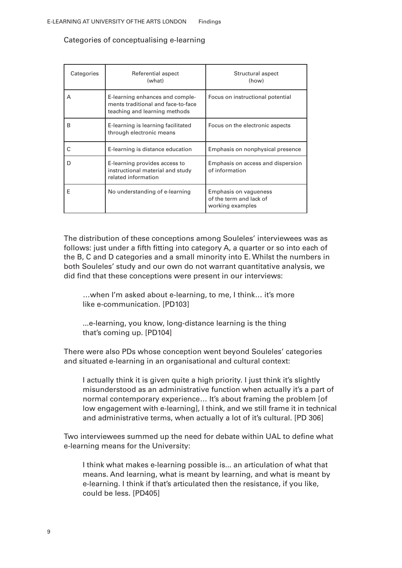| Categories | Referential aspect<br>(what)                                                                           | Structural aspect<br>(how)                                                  |  |
|------------|--------------------------------------------------------------------------------------------------------|-----------------------------------------------------------------------------|--|
| A          | E-learning enhances and comple-<br>ments traditional and face-to-face<br>teaching and learning methods | Focus on instructional potential                                            |  |
| B          | E-learning is learning facilitated<br>through electronic means                                         | Focus on the electronic aspects                                             |  |
| C          | E-learning is distance education                                                                       | Emphasis on nonphysical presence                                            |  |
| D          | E-learning provides access to<br>instructional material and study<br>related information               | Emphasis on access and dispersion<br>of information                         |  |
| F          | No understanding of e-learning                                                                         | <b>Emphasis on vagueness</b><br>of the term and lack of<br>working examples |  |

Categories of conceptualising e-learning

The distribution of these conceptions among Souleles' interviewees was as follows: just under a fifth fitting into category A, a quarter or so into each of the B, C and D categories and a small minority into E. Whilst the numbers in both Souleles' study and our own do not warrant quantitative analysis, we did find that these conceptions were present in our interviews:

…when I'm asked about e-learning, to me, I think… it's more like e-communication. [PD103]

...e-learning, you know, long-distance learning is the thing that's coming up. [PD104]

There were also PDs whose conception went beyond Souleles' categories and situated e-learning in an organisational and cultural context:

I actually think it is given quite a high priority. I just think it's slightly misunderstood as an administrative function when actually it's a part of normal contemporary experience… It's about framing the problem [of low engagement with e-learning], I think, and we still frame it in technical and administrative terms, when actually a lot of it's cultural. [PD 306]

Two interviewees summed up the need for debate within UAL to define what e-learning means for the University:

I think what makes e-learning possible is... an articulation of what that means. And learning, what is meant by learning, and what is meant by e-learning. I think if that's articulated then the resistance, if you like, could be less. [PD405]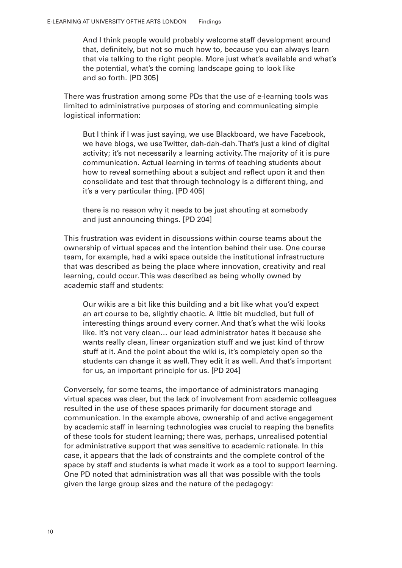And I think people would probably welcome staff development around that, definitely, but not so much how to, because you can always learn that via talking to the right people. More just what's available and what's the potential, what's the coming landscape going to look like and so forth. [PD 305]

There was frustration among some PDs that the use of e-learning tools was limited to administrative purposes of storing and communicating simple logistical information:

But I think if I was just saying, we use Blackboard, we have Facebook, we have blogs, we use Twitter, dah-dah-dah. That's just a kind of digital activity; it's not necessarily a learning activity. The majority of it is pure communication. Actual learning in terms of teaching students about how to reveal something about a subject and reflect upon it and then consolidate and test that through technology is a different thing, and it's a very particular thing. [PD 405]

there is no reason why it needs to be just shouting at somebody and just announcing things. [PD 204]

This frustration was evident in discussions within course teams about the ownership of virtual spaces and the intention behind their use. One course team, for example, had a wiki space outside the institutional infrastructure that was described as being the place where innovation, creativity and real learning, could occur. This was described as being wholly owned by academic staff and students:

Our wikis are a bit like this building and a bit like what you'd expect an art course to be, slightly chaotic. A little bit muddled, but full of interesting things around every corner. And that's what the wiki looks like. It's not very clean… our lead administrator hates it because she wants really clean, linear organization stuff and we just kind of throw stuff at it. And the point about the wiki is, it's completely open so the students can change it as well. They edit it as well. And that's important for us, an important principle for us. [PD 204]

Conversely, for some teams, the importance of administrators managing virtual spaces was clear, but the lack of involvement from academic colleagues resulted in the use of these spaces primarily for document storage and communication. In the example above, ownership of and active engagement by academic staff in learning technologies was crucial to reaping the benefits of these tools for student learning; there was, perhaps, unrealised potential for administrative support that was sensitive to academic rationale. In this case, it appears that the lack of constraints and the complete control of the space by staff and students is what made it work as a tool to support learning. One PD noted that administration was all that was possible with the tools given the large group sizes and the nature of the pedagogy: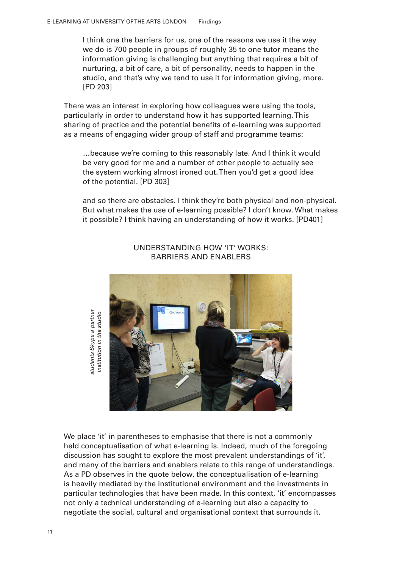I think one the barriers for us, one of the reasons we use it the way we do is 700 people in groups of roughly 35 to one tutor means the information giving is challenging but anything that requires a bit of nurturing, a bit of care, a bit of personality, needs to happen in the studio, and that's why we tend to use it for information giving, more. [PD 203]

There was an interest in exploring how colleagues were using the tools, particularly in order to understand how it has supported learning. This sharing of practice and the potential benefits of e-learning was supported as a means of engaging wider group of staff and programme teams:

…because we're coming to this reasonably late. And I think it would be very good for me and a number of other people to actually see the system working almost ironed out. Then you'd get a good idea of the potential. [PD 303]

and so there are obstacles. I think they're both physical and non-physical. But what makes the use of e-learning possible? I don't know. What makes it possible? I think having an understanding of how it works. [PD401]



### UNDERSTANDING HOW 'IT' WORKS: BARRIERS AND ENABLERS

We place 'it' in parentheses to emphasise that there is not a commonly held conceptualisation of what e-learning is. Indeed, much of the foregoing discussion has sought to explore the most prevalent understandings of 'it', and many of the barriers and enablers relate to this range of understandings. As a PD observes in the quote below, the conceptualisation of e-learning is heavily mediated by the institutional environment and the investments in particular technologies that have been made. In this context, 'it' encompasses not only a technical understanding of e-learning but also a capacity to Ne place 'it' in parentheses to emphasise that there is not a commonly<br>
and conceptualisation of what e-learning is. Indeed, much of the foregoin<br>
discussion has sought to explore the most prevalent understandings of 'it<br>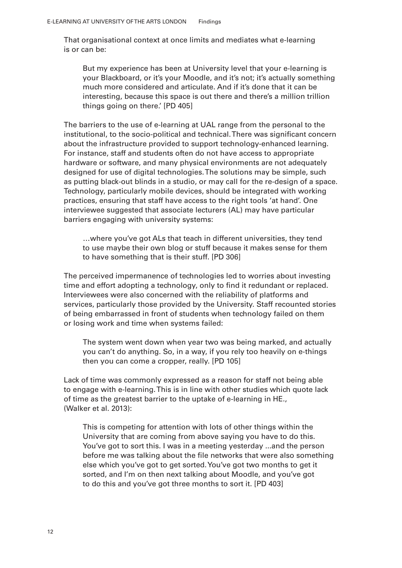That organisational context at once limits and mediates what e-learning is or can be:

But my experience has been at University level that your e-learning is your Blackboard, or it's your Moodle, and it's not; it's actually something much more considered and articulate. And if it's done that it can be interesting, because this space is out there and there's a million trillion things going on there.' [PD 405]

The barriers to the use of e-learning at UAL range from the personal to the institutional, to the socio-political and technical. There was significant concern about the infrastructure provided to support technology-enhanced learning. For instance, staff and students often do not have access to appropriate hardware or software, and many physical environments are not adequately designed for use of digital technologies. The solutions may be simple, such as putting black-out blinds in a studio, or may call for the re-design of a space. Technology, particularly mobile devices, should be integrated with working practices, ensuring that staff have access to the right tools 'at hand'. One interviewee suggested that associate lecturers (AL) may have particular barriers engaging with university systems:

…where you've got ALs that teach in different universities, they tend to use maybe their own blog or stuff because it makes sense for them to have something that is their stuff. [PD 306]

The perceived impermanence of technologies led to worries about investing time and effort adopting a technology, only to find it redundant or replaced. Interviewees were also concerned with the reliability of platforms and services, particularly those provided by the University. Staff recounted stories of being embarrassed in front of students when technology failed on them or losing work and time when systems failed:

The system went down when year two was being marked, and actually you can't do anything. So, in a way, if you rely too heavily on e-things then you can come a cropper, really. [PD 105]

Lack of time was commonly expressed as a reason for staff not being able to engage with e-learning. This is in line with other studies which quote lack of time as the greatest barrier to the uptake of e-learning in HE., (Walker et al. 2013):

This is competing for attention with lots of other things within the University that are coming from above saying you have to do this. You've got to sort this. I was in a meeting yesterday ...and the person before me was talking about the file networks that were also something else which you've got to get sorted. You've got two months to get it sorted, and I'm on then next talking about Moodle, and you've got to do this and you've got three months to sort it. [PD 403]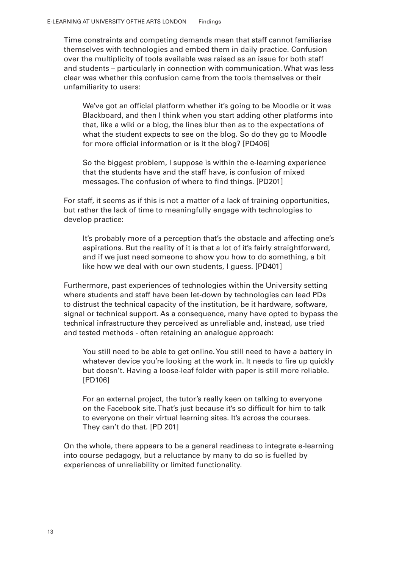Time constraints and competing demands mean that staff cannot familiarise themselves with technologies and embed them in daily practice. Confusion over the multiplicity of tools available was raised as an issue for both staff and students – particularly in connection with communication. What was less clear was whether this confusion came from the tools themselves or their unfamiliarity to users:

We've got an official platform whether it's going to be Moodle or it was Blackboard, and then I think when you start adding other platforms into that, like a wiki or a blog, the lines blur then as to the expectations of what the student expects to see on the blog. So do they go to Moodle for more oficial information or is it the blog? [PD406]

So the biggest problem, I suppose is within the e-learning experience that the students have and the staff have, is confusion of mixed messages. The confusion of where to find things. [PD201]

For staff, it seems as if this is not a matter of a lack of training opportunities, but rather the lack of time to meaningfully engage with technologies to develop practice:

It's probably more of a perception that's the obstacle and affecting one's aspirations. But the reality of it is that a lot of it's fairly straightforward, and if we just need someone to show you how to do something, a bit like how we deal with our own students, I guess. [PD401]

Furthermore, past experiences of technologies within the University setting where students and staff have been let-down by technologies can lead PDs to distrust the technical capacity of the institution, be it hardware, software, signal or technical support. As a consequence, many have opted to bypass the technical infrastructure they perceived as unreliable and, instead, use tried and tested methods - often retaining an analogue approach:

You still need to be able to get online. You still need to have a battery in whatever device you're looking at the work in. It needs to fire up quickly but doesn't. Having a loose-leaf folder with paper is still more reliable. [PD106]

For an external project, the tutor's really keen on talking to everyone on the Facebook site. That's just because it's so dificult for him to talk to everyone on their virtual learning sites. It's across the courses. They can't do that. [PD 201]

On the whole, there appears to be a general readiness to integrate e-learning into course pedagogy, but a reluctance by many to do so is fuelled by experiences of unreliability or limited functionality.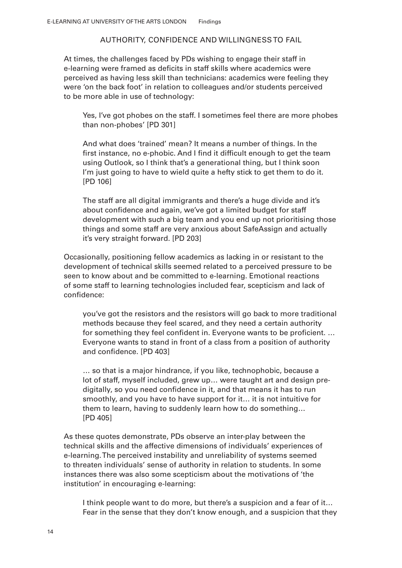### AUTHORITY, CONFIDENCE AND WILLINGNESS TO FAIL

At times, the challenges faced by PDs wishing to engage their staff in e-learning were framed as deficits in staff skills where academics were perceived as having less skill than technicians: academics were feeling they were 'on the back foot' in relation to colleagues and/or students perceived to be more able in use of technology:

Yes, I've got phobes on the staff. I sometimes feel there are more phobes than non-phobes' [PD 301]

And what does 'trained' mean? It means a number of things. In the first instance, no e-phobic. And I find it difficult enough to get the team using Outlook, so I think that's a generational thing, but I think soon I'm just going to have to wield quite a hefty stick to get them to do it. [PD 106]

The staff are all digital immigrants and there's a huge divide and it's about confidence and again, we've got a limited budget for staff development with such a big team and you end up not prioritising those things and some staff are very anxious about SafeAssign and actually it's very straight forward. [PD 203]

Occasionally, positioning fellow academics as lacking in or resistant to the development of technical skills seemed related to a perceived pressure to be seen to know about and be committed to e-learning. Emotional reactions of some staff to learning technologies included fear, scepticism and lack of confidence:

you've got the resistors and the resistors will go back to more traditional methods because they feel scared, and they need a certain authority for something they feel confident in. Everyone wants to be proficient. ... Everyone wants to stand in front of a class from a position of authority and confidence. [PD 403]

… so that is a major hindrance, if you like, technophobic, because a lot of staff, myself included, grew up… were taught art and design predigitally, so you need confidence in it, and that means it has to run smoothly, and you have to have support for it… it is not intuitive for them to learn, having to suddenly learn how to do something… [PD 405]

As these quotes demonstrate, PDs observe an inter-play between the technical skills and the affective dimensions of individuals' experiences of e-learning. The perceived instability and unreliability of systems seemed to threaten individuals' sense of authority in relation to students. In some instances there was also some scepticism about the motivations of 'the institution' in encouraging e-learning:

I think people want to do more, but there's a suspicion and a fear of it... Fear in the sense that they don't know enough, and a suspicion that they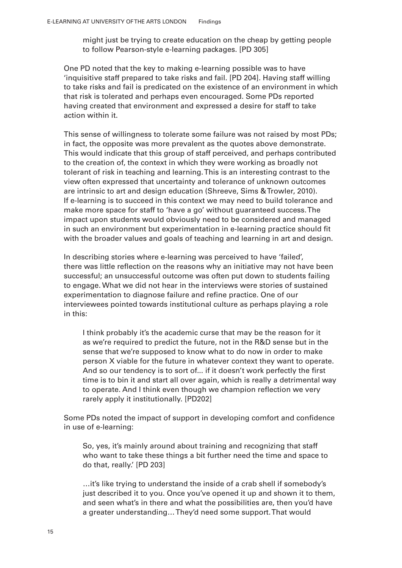might just be trying to create education on the cheap by getting people to follow Pearson-style e-learning packages. [PD 305]

One PD noted that the key to making e-learning possible was to have 'inquisitive staff prepared to take risks and fail. [PD 204]. Having staff willing to take risks and fail is predicated on the existence of an environment in which that risk is tolerated and perhaps even encouraged. Some PDs reported having created that environment and expressed a desire for staff to take action within it.

This sense of willingness to tolerate some failure was not raised by most PDs; in fact, the opposite was more prevalent as the quotes above demonstrate. This would indicate that this group of staff perceived, and perhaps contributed to the creation of, the context in which they were working as broadly not tolerant of risk in teaching and learning. This is an interesting contrast to the view often expressed that uncertainty and tolerance of unknown outcomes are intrinsic to art and design education (Shreeve, Sims & Trowler, 2010). If e-learning is to succeed in this context we may need to build tolerance and make more space for staff to 'have a go' without guaranteed success. The impact upon students would obviously need to be considered and managed in such an environment but experimentation in e-learning practice should it with the broader values and goals of teaching and learning in art and design.

In describing stories where e-learning was perceived to have 'failed', there was little reflection on the reasons why an initiative may not have been successful; an unsuccessful outcome was often put down to students failing to engage. What we did not hear in the interviews were stories of sustained experimentation to diagnose failure and refine practice. One of our interviewees pointed towards institutional culture as perhaps playing a role in this:

I think probably it's the academic curse that may be the reason for it as we're required to predict the future, not in the R&D sense but in the sense that we're supposed to know what to do now in order to make person X viable for the future in whatever context they want to operate. And so our tendency is to sort of... if it doesn't work perfectly the first time is to bin it and start all over again, which is really a detrimental way to operate. And I think even though we champion relection we very rarely apply it institutionally. [PD202]

Some PDs noted the impact of support in developing comfort and conidence in use of e-learning:

So, yes, it's mainly around about training and recognizing that staff who want to take these things a bit further need the time and space to do that, really.' [PD 203]

…it's like trying to understand the inside of a crab shell if somebody's just described it to you. Once you've opened it up and shown it to them, and seen what's in there and what the possibilities are, then you'd have a greater understanding… They'd need some support. That would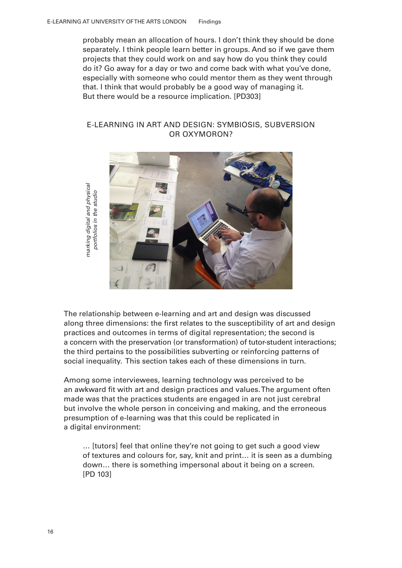probably mean an allocation of hours. I don't think they should be done separately. I think people learn better in groups. And so if we gave them projects that they could work on and say how do you think they could do it? Go away for a day or two and come back with what you've done, especially with someone who could mentor them as they went through that. I think that would probably be a good way of managing it. But there would be a resource implication. [PD303]

### E-LEARNING IN ART AND DESIGN: SYMBIOSIS, SUBVERSION OR OXYMORON?



marking digital and physical portfolios in the studio

The relationship between e-learning and art and design was discussed along three dimensions: the first relates to the susceptibility of art and design practices and outcomes in terms of digital representation; the second is a concern with the preservation (or transformation) of tutor-student interactions; the third pertains to the possibilities subverting or reinforcing patterns of social inequality. This section takes each of these dimensions in turn.

Among some interviewees, learning technology was perceived to be an awkward fit with art and design practices and values. The argument often made was that the practices students are engaged in are not just cerebral but involve the whole person in conceiving and making, and the erroneous presumption of e-learning was that this could be replicated in a digital environment: Marking digital and periods and physical portfolios in the studios in the studios in the studios in the studios in the studios in the studios in the studios in the studios in the studios in the studios in the studios in th

… [tutors] feel that online they're not going to get such a good view of textures and colours for, say, knit and print… it is seen as a dumbing down… there is something impersonal about it being on a screen. [PD 103]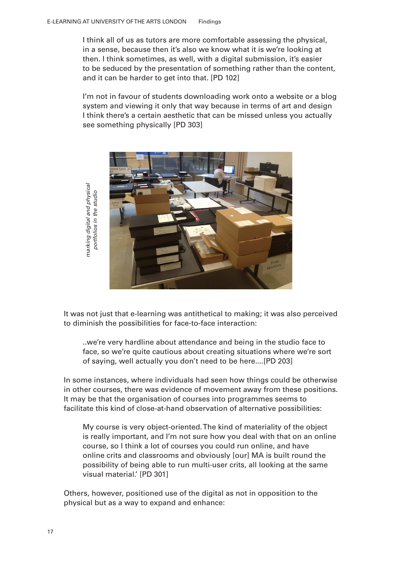I think all of us as tutors are more comfortable assessing the physical, in a sense, because then it's also we know what it is we're looking at then. I think sometimes, as well, with a digital submission, it's easier to be seduced by the presentation of something rather than the content, and it can be harder to get into that. [PD 102]

I'm not in favour of students downloading work onto a website or a blog system and viewing it only that way because in terms of art and design I think there's a certain aesthetic that can be missed unless you actually see something physically [PD 303]



It was not just that e-learning was antithetical to making; it was also perceived to diminish the possibilities for face-to-face interaction:

..we're very hardline about attendance and being in the studio face to face, so we're quite cautious about creating situations where we're sort of saying, well actually you don't need to be here....[PD 203]

In some instances, where individuals had seen how things could be otherwise in other courses, there was evidence of movement away from these positions. It may be that the organisation of courses into programmes seems to facilitate this kind of close-at-hand observation of alternative possibilities:

My course is very object-oriented. The kind of materiality of the object is really important, and I'm not sure how you deal with that on an online course, so I think a lot of courses you could run online, and have online crits and classrooms and obviously [our] MA is built round the possibility of being able to run multi-user crits, all looking at the same visual material.' [PD 301]

Others, however, positioned use of the digital as not in opposition to the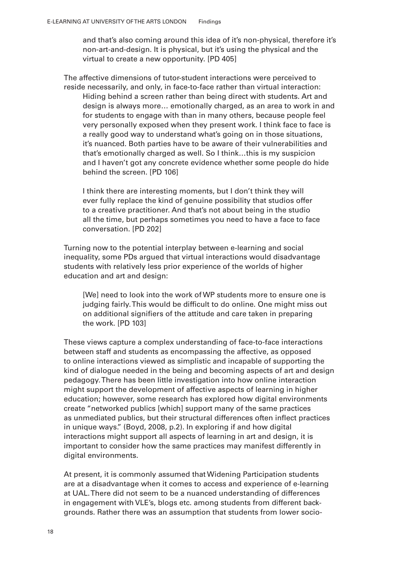and that's also coming around this idea of it's non-physical, therefore it's non-art-and-design. It is physical, but it's using the physical and the virtual to create a new opportunity. [PD 405]

The affective dimensions of tutor-student interactions were perceived to reside necessarily, and only, in face-to-face rather than virtual interaction: Hiding behind a screen rather than being direct with students. Art and design is always more… emotionally charged, as an area to work in and for students to engage with than in many others, because people feel very personally exposed when they present work. I think face to face is a really good way to understand what's going on in those situations, it's nuanced. Both parties have to be aware of their vulnerabilities and that's emotionally charged as well. So I think…this is my suspicion and I haven't got any concrete evidence whether some people do hide behind the screen. [PD 106]

I think there are interesting moments, but I don't think they will ever fully replace the kind of genuine possibility that studios offer to a creative practitioner. And that's not about being in the studio all the time, but perhaps sometimes you need to have a face to face conversation. [PD 202]

Turning now to the potential interplay between e-learning and social inequality, some PDs argued that virtual interactions would disadvantage students with relatively less prior experience of the worlds of higher education and art and design:

[We] need to look into the work of WP students more to ensure one is judging fairly. This would be dificult to do online. One might miss out on additional signifiers of the attitude and care taken in preparing the work. [PD 103]

These views capture a complex understanding of face-to-face interactions between staff and students as encompassing the affective, as opposed to online interactions viewed as simplistic and incapable of supporting the kind of dialogue needed in the being and becoming aspects of art and design pedagogy. There has been little investigation into how online interaction might support the development of affective aspects of learning in higher education; however, some research has explored how digital environments create "networked publics [which] support many of the same practices as unmediated publics, but their structural differences often inlect practices in unique ways." (Boyd, 2008, p.2). In exploring if and how digital interactions might support all aspects of learning in art and design, it is important to consider how the same practices may manifest differently in digital environments.

At present, it is commonly assumed that Widening Participation students are at a disadvantage when it comes to access and experience of e-learning at UAL. There did not seem to be a nuanced understanding of differences in engagement with VLE's, blogs etc. among students from different backgrounds. Rather there was an assumption that students from lower socio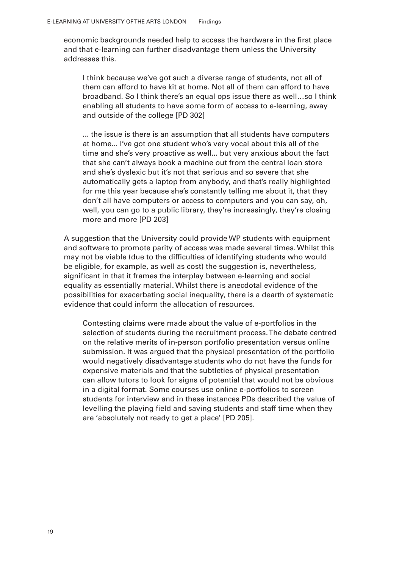economic backgrounds needed help to access the hardware in the first place and that e-learning can further disadvantage them unless the University addresses this.

I think because we've got such a diverse range of students, not all of them can afford to have kit at home. Not all of them can afford to have broadband. So I think there's an equal ops issue there as well…so I think enabling all students to have some form of access to e-learning, away and outside of the college [PD 302]

... the issue is there is an assumption that all students have computers at home... I've got one student who's very vocal about this all of the time and she's very proactive as well... but very anxious about the fact that she can't always book a machine out from the central loan store and she's dyslexic but it's not that serious and so severe that she automatically gets a laptop from anybody, and that's really highlighted for me this year because she's constantly telling me about it, that they don't all have computers or access to computers and you can say, oh, well, you can go to a public library, they're increasingly, they're closing more and more [PD 203]

A suggestion that the University could provide WP students with equipment and software to promote parity of access was made several times. Whilst this may not be viable (due to the dificulties of identifying students who would be eligible, for example, as well as cost) the suggestion is, nevertheless, significant in that it frames the interplay between e-learning and social equality as essentially material. Whilst there is anecdotal evidence of the possibilities for exacerbating social inequality, there is a dearth of systematic evidence that could inform the allocation of resources.

Contesting claims were made about the value of e-portfolios in the selection of students during the recruitment process. The debate centred on the relative merits of in-person portfolio presentation versus online submission. It was argued that the physical presentation of the portfolio would negatively disadvantage students who do not have the funds for expensive materials and that the subtleties of physical presentation can allow tutors to look for signs of potential that would not be obvious in a digital format. Some courses use online e-portfolios to screen students for interview and in these instances PDs described the value of levelling the playing field and saving students and staff time when they are 'absolutely not ready to get a place' [PD 205].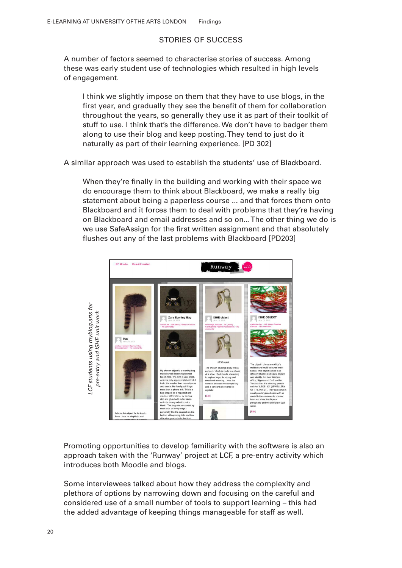### STORIES OF SUCCESS

A number of factors seemed to characterise stories of success. Among these was early student use of technologies which resulted in high levels of engagement.

I think we slightly impose on them that they have to use blogs, in the first year, and gradually they see the benefit of them for collaboration throughout the years, so generally they use it as part of their toolkit of stuff to use. I think that's the difference. We don't have to badger them along to use their blog and keep posting. They tend to just do it naturally as part of their learning experience. [PD 302]

A similar approach was used to establish the students' use of Blackboard.

When they're finally in the building and working with their space we do encourage them to think about Blackboard, we make a really big statement about being a paperless course ... and that forces them onto Blackboard and it forces them to deal with problems that they're having on Blackboard and email addresses and so on... The other thing we do is we use SafeAssign for the first written assignment and that absolutely lushes out any of the last problems with Blackboard [PD203]



Promoting opportunities to develop familiarity with the software is also an approach taken with the 'Runway' project at LCF, a pre-entry activity which introduces both Moodle and blogs.

Some interviewees talked about how they address the complexity and plethora of options by narrowing down and focusing on the careful and considered use of a small number of tools to support learning – this had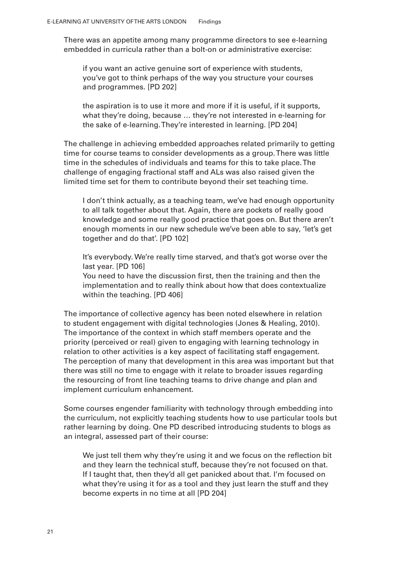There was an appetite among many programme directors to see e-learning embedded in curricula rather than a bolt-on or administrative exercise:

if you want an active genuine sort of experience with students, you've got to think perhaps of the way you structure your courses and programmes. [PD 202]

the aspiration is to use it more and more if it is useful, if it supports, what they're doing, because … they're not interested in e-learning for the sake of e-learning. They're interested in learning. [PD 204]

The challenge in achieving embedded approaches related primarily to getting time for course teams to consider developments as a group. There was little time in the schedules of individuals and teams for this to take place. The challenge of engaging fractional staff and ALs was also raised given the limited time set for them to contribute beyond their set teaching time.

I don't think actually, as a teaching team, we've had enough opportunity to all talk together about that. Again, there are pockets of really good knowledge and some really good practice that goes on. But there aren't enough moments in our new schedule we've been able to say, 'let's get together and do that'. [PD 102]

It's everybody. We're really time starved, and that's got worse over the last year. [PD 106]

You need to have the discussion first, then the training and then the implementation and to really think about how that does contextualize within the teaching. [PD 406]

The importance of collective agency has been noted elsewhere in relation to student engagement with digital technologies (Jones & Healing, 2010). The importance of the context in which staff members operate and the priority (perceived or real) given to engaging with learning technology in relation to other activities is a key aspect of facilitating staff engagement. The perception of many that development in this area was important but that there was still no time to engage with it relate to broader issues regarding the resourcing of front line teaching teams to drive change and plan and implement curriculum enhancement.

Some courses engender familiarity with technology through embedding into the curriculum, not explicitly teaching students how to use particular tools but rather learning by doing. One PD described introducing students to blogs as an integral, assessed part of their course:

We just tell them why they're using it and we focus on the reflection bit and they learn the technical stuff, because they're not focused on that. If I taught that, then they'd all get panicked about that. I'm focused on what they're using it for as a tool and they just learn the stuff and they become experts in no time at all [PD 204]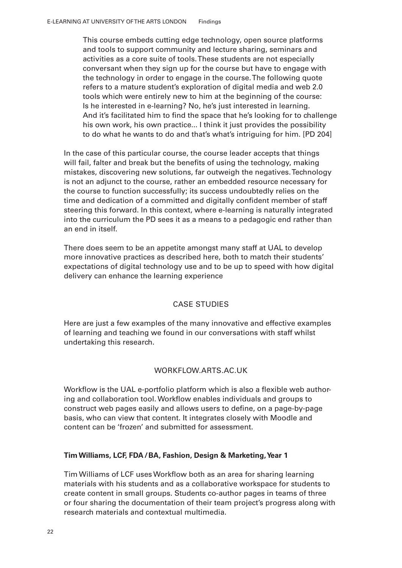This course embeds cutting edge technology, open source platforms and tools to support community and lecture sharing, seminars and activities as a core suite of tools. These students are not especially conversant when they sign up for the course but have to engage with the technology in order to engage in the course. The following quote refers to a mature student's exploration of digital media and web 2.0 tools which were entirely new to him at the beginning of the course: Is he interested in e-learning? No, he's just interested in learning. And it's facilitated him to find the space that he's looking for to challenge his own work, his own practice... I think it just provides the possibility to do what he wants to do and that's what's intriguing for him. [PD 204]

In the case of this particular course, the course leader accepts that things will fail, falter and break but the benefits of using the technology, making mistakes, discovering new solutions, far outweigh the negatives. Technology is not an adjunct to the course, rather an embedded resource necessary for the course to function successfully; its success undoubtedly relies on the time and dedication of a committed and digitally confident member of staff steering this forward. In this context, where e-learning is naturally integrated into the curriculum the PD sees it as a means to a pedagogic end rather than an end in itself.

There does seem to be an appetite amongst many staff at UAL to develop more innovative practices as described here, both to match their students' expectations of digital technology use and to be up to speed with how digital delivery can enhance the learning experience

### CASE STUDIES

Here are just a few examples of the many innovative and effective examples of learning and teaching we found in our conversations with staff whilst undertaking this research.

### WORKFLOW.ARTS.AC.UK

Workflow is the UAL e-portfolio platform which is also a flexible web authoring and collaboration tool. Workflow enables individuals and groups to construct web pages easily and allows users to deine, on a page-by-page basis, who can view that content. It integrates closely with Moodle and content can be 'frozen' and submitted for assessment.

### **Tim Williams, LCF, FDA/BA, Fashion, Design & Marketing, Year 1**

Tim Williams of LCF uses Workflow both as an area for sharing learning materials with his students and as a collaborative workspace for students to create content in small groups. Students co-author pages in teams of three or four sharing the documentation of their team project's progress along with research materials and contextual multimedia.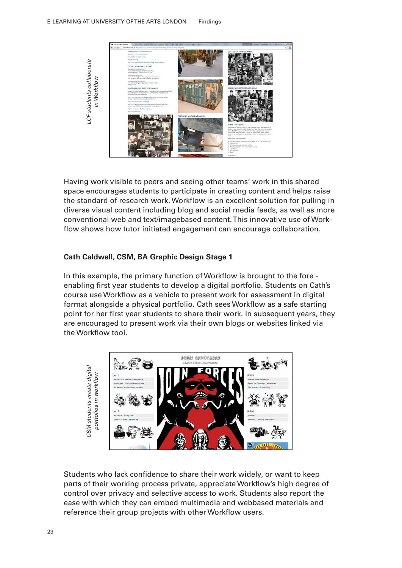

Having work visible to peers and seeing other teams' work in this shared space encourages students to participate in creating content and helps raise the standard of research work. Worklow is an excellent solution for pulling in diverse visual content including blog and social media feeds, as well as more conventional web and text/image based content. This innovative use of Workflow shows how tutor initiated engagement can encourage collaboration.

### **Cath Caldwell, CSM, BA Graphic Design Stage 1**

In this example, the primary function of Worklow is brought to the fore enabling first year students to develop a digital portfolio. Students on Cath's course use Worklow as a vehicle to present work for assessment in digital format alongside a physical portfolio. Cath sees Workflow as a safe starting point for her irst year students to share their work. In subsequent years, they are encouraged to present work via their own blogs or websites linked via the Workflow tool.



Students who lack confidence to share their work widely, or want to keep parts of their working process private, appreciate Worklow's high degree of control over privacy and selective access to work. Students also report the ease with which they can embed multimedia and webbased materials and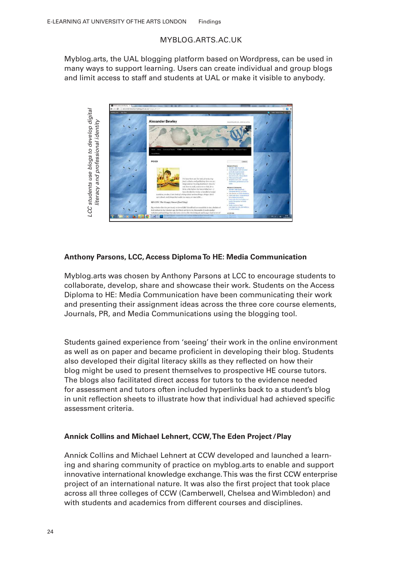### MYBLOG.ARTS.AC.UK

Myblog.arts, the UAL blogging platform based on Wordpress, can be used in many ways to support learning. Users can create individual and group blogs and limit access to staff and students at UAL or make it visible to anybody.



### **Anthony Parsons, LCC, Access Diploma To HE: Media Communication**

Myblog.arts was chosen by Anthony Parsons at LCC to encourage students to collaborate, develop, share and showcase their work. Students on the Access Diploma to HE: Media Communication have been communicating their work and presenting their assignment ideas across the three core course elements, Journals, PR, and Media Communications using the blogging tool.

Students gained experience from 'seeing' their work in the online environment as well as on paper and became proficient in developing their blog. Students also developed their digital literacy skills as they reflected on how their blog might be used to present themselves to prospective HE course tutors. The blogs also facilitated direct access for tutors to the evidence needed for assessment and tutors often included hyperlinks back to a student's blog in unit reflection sheets to illustrate how that individual had achieved specific assessment criteria.

### **Annick Collins and Michael Lehnert, CCW, The Eden Project /Play**

Annick Collins and Michael Lehnert at CCW developed and launched a learning and sharing community of practice on myblog.arts to enable and support innovative international knowledge exchange. This was the first CCW enterprise project of an international nature. It was also the irst project that took place across all three colleges of CCW (Camberwell, Chelsea and Wimbledon) and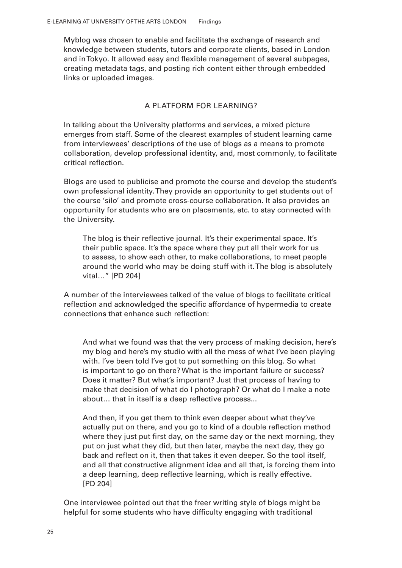Myblog was chosen to enable and facilitate the exchange of research and knowledge between students, tutors and corporate clients, based in London and in Tokyo. It allowed easy and flexible management of several subpages, creating metadata tags, and posting rich content either through embedded links or uploaded images.

### A PLATFORM FOR LEARNING?

In talking about the University platforms and services, a mixed picture emerges from staff. Some of the clearest examples of student learning came from interviewees' descriptions of the use of blogs as a means to promote collaboration, develop professional identity, and, most commonly, to facilitate critical reflection.

Blogs are used to publicise and promote the course and develop the student's own professional identity. They provide an opportunity to get students out of the course 'silo' and promote cross-course collaboration. It also provides an opportunity for students who are on placements, etc. to stay connected with the University.

The blog is their reflective journal. It's their experimental space. It's their public space. It's the space where they put all their work for us to assess, to show each other, to make collaborations, to meet people around the world who may be doing stuff with it. The blog is absolutely vital…" [PD 204]

A number of the interviewees talked of the value of blogs to facilitate critical reflection and acknowledged the specific affordance of hypermedia to create connections that enhance such reflection:

And what we found was that the very process of making decision, here's my blog and here's my studio with all the mess of what I've been playing with. I've been told I've got to put something on this blog. So what is important to go on there? What is the important failure or success? Does it matter? But what's important? Just that process of having to make that decision of what do I photograph? Or what do I make a note about... that in itself is a deep reflective process...

And then, if you get them to think even deeper about what they've actually put on there, and you go to kind of a double relection method where they just put first day, on the same day or the next morning, they put on just what they did, but then later, maybe the next day, they go back and reflect on it, then that takes it even deeper. So the tool itself, and all that constructive alignment idea and all that, is forcing them into a deep learning, deep reflective learning, which is really effective. [PD 204]

One interviewee pointed out that the freer writing style of blogs might be helpful for some students who have dificulty engaging with traditional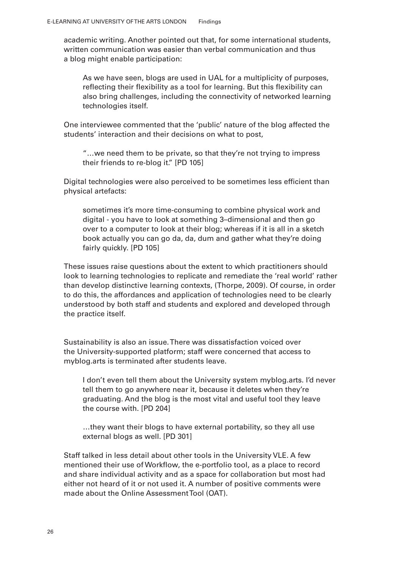academic writing. Another pointed out that, for some international students, written communication was easier than verbal communication and thus a blog might enable participation:

As we have seen, blogs are used in UAL for a multiplicity of purposes, reflecting their flexibility as a tool for learning. But this flexibility can also bring challenges, including the connectivity of networked learning technologies itself.

One interviewee commented that the 'public' nature of the blog affected the students' interaction and their decisions on what to post,

"…we need them to be private, so that they're not trying to impress their friends to re-blog it." [PD 105]

Digital technologies were also perceived to be sometimes less eficient than physical artefacts:

sometimes it's more time-consuming to combine physical work and digital - you have to look at something 3–dimensional and then go over to a computer to look at their blog; whereas if it is all in a sketch book actually you can go da, da, dum and gather what they're doing fairly quickly. [PD 105]

These issues raise questions about the extent to which practitioners should look to learning technologies to replicate and remediate the 'real world' rather than develop distinctive learning contexts, (Thorpe, 2009). Of course, in order to do this, the affordances and application of technologies need to be clearly understood by both staff and students and explored and developed through the practice itself.

Sustainability is also an issue. There was dissatisfaction voiced over the University-supported platform; staff were concerned that access to myblog.arts is terminated after students leave.

I don't even tell them about the University system myblog.arts. I'd never tell them to go anywhere near it, because it deletes when they're graduating. And the blog is the most vital and useful tool they leave the course with. [PD 204]

…they want their blogs to have external portability, so they all use external blogs as well. [PD 301]

Staff talked in less detail about other tools in the University VLE. A few mentioned their use of Workflow, the e-portfolio tool, as a place to record and share individual activity and as a space for collaboration but most had either not heard of it or not used it. A number of positive comments were made about the Online Assessment Tool (OAT).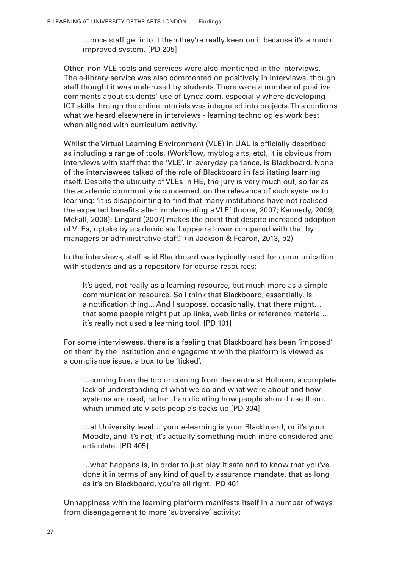…once staff get into it then they're really keen on it because it's a much improved system. [PD 205]

Other, non-VLE tools and services were also mentioned in the interviews. The e-library service was also commented on positively in interviews, though staff thought it was underused by students. There were a number of positive comments about students' use of Lynda.com, especially where developing ICT skills through the online tutorials was integrated into projects. This confirms what we heard elsewhere in interviews - learning technologies work best when aligned with curriculum activity.

Whilst the Virtual Learning Environment (VLE) in UAL is oficially described as including a range of tools, (Worklow, myblog.arts, etc), it is obvious from interviews with staff that the 'VLE', in everyday parlance, is Blackboard. None of the interviewees talked of the role of Blackboard in facilitating learning itself. Despite the ubiquity of VLEs in HE, the jury is very much out, so far as the academic community is concerned, on the relevance of such systems to learning: 'it is disappointing to find that many institutions have not realised the expected benefits after implementing a VLE' (Inoue, 2007; Kennedy, 2009; McFall, 2008). Lingard (2007) makes the point that despite increased adoption of VLEs, uptake by academic staff appears lower compared with that by managers or administrative staff." (in Jackson & Fearon, 2013, p2)

In the interviews, staff said Blackboard was typically used for communication with students and as a repository for course resources:

It's used, not really as a learning resource, but much more as a simple communication resource. So I think that Blackboard, essentially, is a notification thing... And I suppose, occasionally, that there might... that some people might put up links, web links or reference material… it's really not used a learning tool. [PD 101]

For some interviewees, there is a feeling that Blackboard has been 'imposed' on them by the Institution and engagement with the platform is viewed as a compliance issue, a box to be 'ticked'.

…coming from the top or coming from the centre at Holborn, a complete lack of understanding of what we do and what we're about and how systems are used, rather than dictating how people should use them, which immediately sets people's backs up [PD 304]

…at University level… your e-learning is your Blackboard, or it's your Moodle, and it's not; it's actually something much more considered and articulate. [PD 405]

…what happens is, in order to just play it safe and to know that you've done it in terms of any kind of quality assurance mandate, that as long as it's on Blackboard, you're all right. [PD 401]

Unhappiness with the learning platform manifests itself in a number of ways from disengagement to more 'subversive' activity: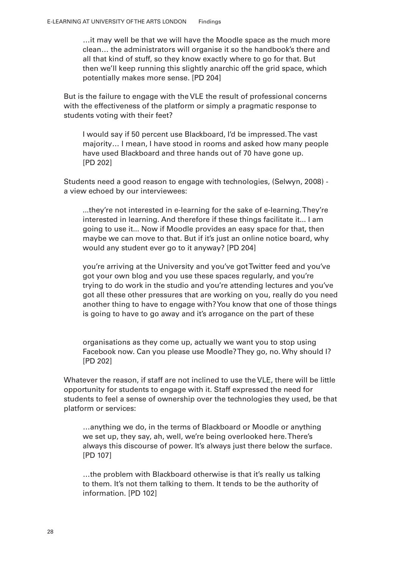…it may well be that we will have the Moodle space as the much more clean… the administrators will organise it so the handbook's there and all that kind of stuff, so they know exactly where to go for that. But then we'll keep running this slightly anarchic off the grid space, which potentially makes more sense. [PD 204]

But is the failure to engage with the VLE the result of professional concerns with the effectiveness of the platform or simply a pragmatic response to students voting with their feet?

I would say if 50 percent use Blackboard, I'd be impressed. The vast majority… I mean, I have stood in rooms and asked how many people have used Blackboard and three hands out of 70 have gone up. [PD 202]

Students need a good reason to engage with technologies, (Selwyn, 2008) a view echoed by our interviewees:

...they're not interested in e-learning for the sake of e-learning. They're interested in learning. And therefore if these things facilitate it... I am going to use it... Now if Moodle provides an easy space for that, then maybe we can move to that. But if it's just an online notice board, why would any student ever go to it anyway? [PD 204]

you're arriving at the University and you've got Twitter feed and you've got your own blog and you use these spaces regularly, and you're trying to do work in the studio and you're attending lectures and you've got all these other pressures that are working on you, really do you need another thing to have to engage with? You know that one of those things is going to have to go away and it's arrogance on the part of these

organisations as they come up, actually we want you to stop using Facebook now. Can you please use Moodle? They go, no. Why should I? [PD 202]

Whatever the reason, if staff are not inclined to use the VLE, there will be little opportunity for students to engage with it. Staff expressed the need for students to feel a sense of ownership over the technologies they used, be that platform or services:

…anything we do, in the terms of Blackboard or Moodle or anything we set up, they say, ah, well, we're being overlooked here. There's always this discourse of power. It's always just there below the surface. [PD 107]

…the problem with Blackboard otherwise is that it's really us talking to them. It's not them talking to them. It tends to be the authority of information. [PD 102]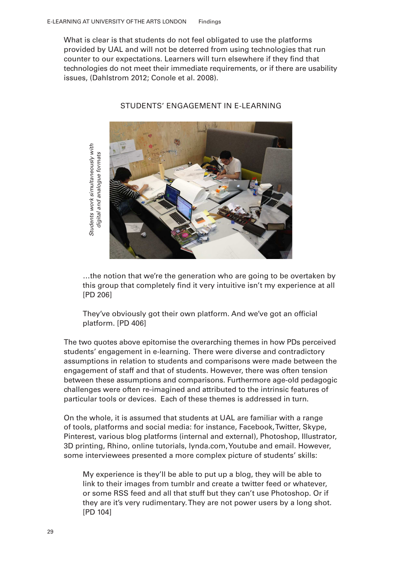What is clear is that students do not feel obligated to use the platforms provided by UAL and will not be deterred from using technologies that run counter to our expectations. Learners will turn elsewhere if they ind that technologies do not meet their immediate requirements, or if there are usability issues, (Dahlstrom 2012; Conole et al. 2008).



STUDENTS' ENGAGEMENT IN E-LEARNING

…the notion that we're the generation who are going to be overtaken by this group that completely ind it very intuitive isn't my experience at all [PD 206]

They've obviously got their own platform. And we've got an oficial platform. [PD 406]

The two quotes above epitomise the overarching themes in how PDs perceived students' engagement in e-learning. There were diverse and contradictory assumptions in relation to students and comparisons were made between the engagement of staff and that of students. However, there was often tension between these assumptions and comparisons. Furthermore age-old pedagogic challenges were often re-imagined and attributed to the intrinsic features of particular tools or devices. Each of these themes is addressed in turn.

On the whole, it is assumed that students at UAL are familiar with a range of tools, platforms and social media: for instance, Facebook, Twitter, Skype, Pinterest, various blog platforms (internal and external), Photoshop, Illustrator, 3D printing, Rhino, online tutorials, lynda.com, Youtube and email. However, some interviewees presented a more complex picture of students' skills:

My experience is they'll be able to put up a blog, they will be able to link to their images from tumblr and create a twitter feed or whatever, or some RSS feed and all that stuff but they can't use Photoshop. Or if they are it's very rudimentary. They are not power users by a long shot.  $[PD 104]$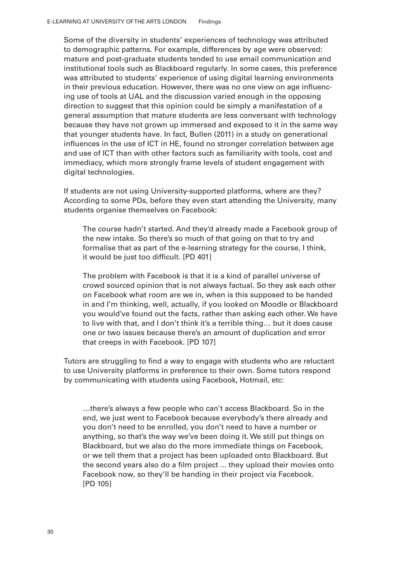Some of the diversity in students' experiences of technology was attributed to demographic patterns. For example, differences by age were observed: mature and post-graduate students tended to use email communication and institutional tools such as Blackboard regularly. In some cases, this preference was attributed to students' experience of using digital learning environments in their previous education. However, there was no one view on age influencing use of tools at UAL and the discussion varied enough in the opposing direction to suggest that this opinion could be simply a manifestation of a general assumption that mature students are less conversant with technology because they have not grown up immersed and exposed to it in the same way that younger students have. In fact, Bullen (2011) in a study on generational influences in the use of ICT in HE, found no stronger correlation between age and use of ICT than with other factors such as familiarity with tools, cost and immediacy, which more strongly frame levels of student engagement with digital technologies.

If students are not using University-supported platforms, where are they? According to some PDs, before they even start attending the University, many students organise themselves on Facebook:

The course hadn't started. And they'd already made a Facebook group of the new intake. So there's so much of that going on that to try and formalise that as part of the e-learning strategy for the course, I think, it would be just too dificult. [PD 401]

The problem with Facebook is that it is a kind of parallel universe of crowd sourced opinion that is not always factual. So they ask each other on Facebook what room are we in, when is this supposed to be handed in and I'm thinking, well, actually, if you looked on Moodle or Blackboard you would've found out the facts, rather than asking each other. We have to live with that, and I don't think it's a terrible thing… but it does cause one or two issues because there's an amount of duplication and error that creeps in with Facebook. [PD 107]

Tutors are struggling to find a way to engage with students who are reluctant to use University platforms in preference to their own. Some tutors respond by communicating with students using Facebook, Hotmail, etc:

…there's always a few people who can't access Blackboard. So in the end, we just went to Facebook because everybody's there already and you don't need to be enrolled, you don't need to have a number or anything, so that's the way we've been doing it. We still put things on Blackboard, but we also do the more immediate things on Facebook, or we tell them that a project has been uploaded onto Blackboard. But the second years also do a film project ... they upload their movies onto Facebook now, so they'll be handing in their project via Facebook. [PD 105]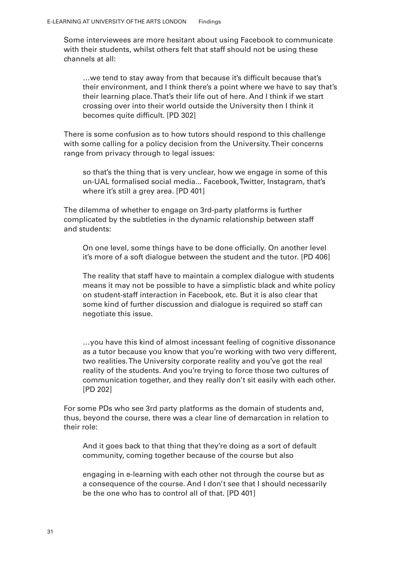Some interviewees are more hesitant about using Facebook to communicate with their students, whilst others felt that staff should not be using these channels at all:

…we tend to stay away from that because it's dificult because that's their environment, and I think there's a point where we have to say that's their learning place. That's their life out of here. And I think if we start crossing over into their world outside the University then I think it becomes quite dificult. [PD 302]

There is some confusion as to how tutors should respond to this challenge with some calling for a policy decision from the University. Their concerns range from privacy through to legal issues:

so that's the thing that is very unclear, how we engage in some of this un-UAL formalised social media... Facebook, Twitter, Instagram, that's where it's still a grey area. [PD 401]

The dilemma of whether to engage on 3rd-party platforms is further complicated by the subtleties in the dynamic relationship between staff and students:

On one level, some things have to be done oficially. On another level it's more of a soft dialogue between the student and the tutor. [PD 406]

The reality that staff have to maintain a complex dialogue with students means it may not be possible to have a simplistic black and white policy on student-staff interaction in Facebook, etc. But it is also clear that some kind of further discussion and dialogue is required so staff can negotiate this issue.

…you have this kind of almost incessant feeling of cognitive dissonance as a tutor because you know that you're working with two very different, two realities. The University corporate reality and you've got the real reality of the students. And you're trying to force those two cultures of communication together, and they really don't sit easily with each other. [PD 202]

For some PDs who see 3rd party platforms as the domain of students and, thus, beyond the course, there was a clear line of demarcation in relation to their role:

And it goes back to that thing that they're doing as a sort of default community, coming together because of the course but also

engaging in e-learning with each other not through the course but as a consequence of the course. And I don't see that I should necessarily be the one who has to control all of that. [PD 401]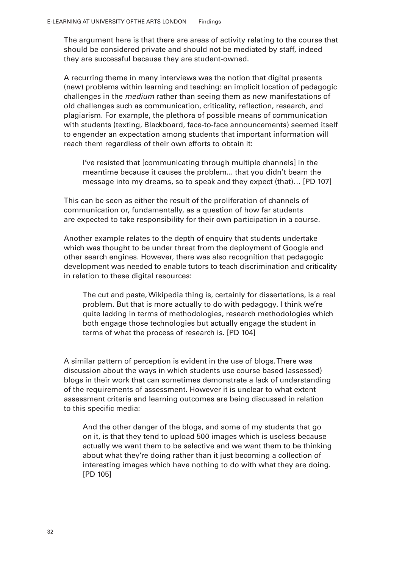The argument here is that there are areas of activity relating to the course that should be considered private and should not be mediated by staff, indeed they are successful because they are student-owned.

A recurring theme in many interviews was the notion that digital presents (new) problems within learning and teaching: an implicit location of pedagogic challenges in the *medium* rather than seeing them as new manifestations of old challenges such as communication, criticality, relection, research, and plagiarism. For example, the plethora of possible means of communication with students (texting, Blackboard, face-to-face announcements) seemed itself to engender an expectation among students that important information will reach them regardless of their own efforts to obtain it:

I've resisted that [communicating through multiple channels] in the meantime because it causes the problem... that you didn't beam the message into my dreams, so to speak and they expect (that)… [PD 107]

This can be seen as either the result of the proliferation of channels of communication or, fundamentally, as a question of how far students are expected to take responsibility for their own participation in a course.

Another example relates to the depth of enquiry that students undertake which was thought to be under threat from the deployment of Google and other search engines. However, there was also recognition that pedagogic development was needed to enable tutors to teach discrimination and criticality in relation to these digital resources:

The cut and paste, Wikipedia thing is, certainly for dissertations, is a real problem. But that is more actually to do with pedagogy. I think we're quite lacking in terms of methodologies, research methodologies which both engage those technologies but actually engage the student in terms of what the process of research is. [PD 104]

A similar pattern of perception is evident in the use of blogs. There was discussion about the ways in which students use course based (assessed) blogs in their work that can sometimes demonstrate a lack of understanding of the requirements of assessment. However it is unclear to what extent assessment criteria and learning outcomes are being discussed in relation to this specific media:

And the other danger of the blogs, and some of my students that go on it, is that they tend to upload 500 images which is useless because actually we want them to be selective and we want them to be thinking about what they're doing rather than it just becoming a collection of interesting images which have nothing to do with what they are doing. [PD 105]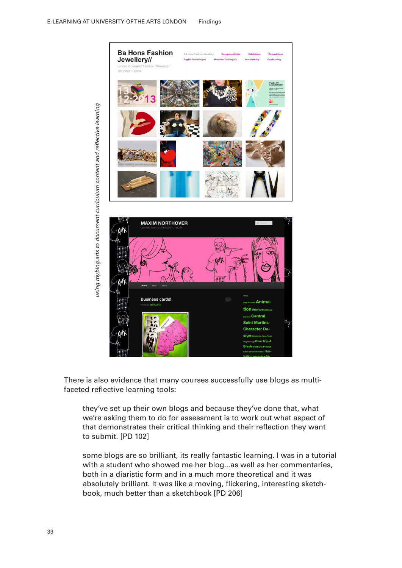

There is also evidence that many courses successfully use blogs as multifaceted reflective learning tools:

they've set up their own blogs and because they've done that, what we're asking them to do for assessment is to work out what aspect of that demonstrates their critical thinking and their reflection they want to submit. [PD 102]

some blogs are so brilliant, its really fantastic learning. I was in a tutorial with a student who showed me her blog...as well as her commentaries, both in a diaristic form and in a much more theoretical and it was absolutely brilliant. It was like a moving, flickering, interesting sketch-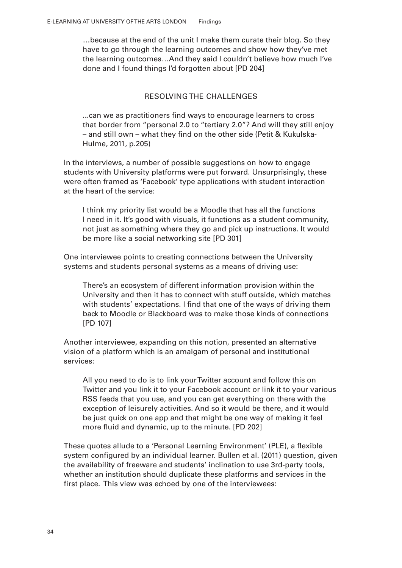…because at the end of the unit I make them curate their blog. So they have to go through the learning outcomes and show how they've met the learning outcomes…And they said I couldn't believe how much I've done and I found things I'd forgotten about [PD 204]

### RESOLVING THE CHALLENGES

...can we as practitioners find ways to encourage learners to cross that border from "personal 2.0 to "tertiary 2.0"? And will they still enjoy – and still own – what they ind on the other side (Petit & Kukulska-Hulme, 2011, p.205)

In the interviews, a number of possible suggestions on how to engage students with University platforms were put forward. Unsurprisingly, these were often framed as 'Facebook' type applications with student interaction at the heart of the service:

I think my priority list would be a Moodle that has all the functions I need in it. It's good with visuals, it functions as a student community, not just as something where they go and pick up instructions. It would be more like a social networking site [PD 301]

One interviewee points to creating connections between the University systems and students personal systems as a means of driving use:

There's an ecosystem of different information provision within the University and then it has to connect with stuff outside, which matches with students' expectations. I find that one of the ways of driving them back to Moodle or Blackboard was to make those kinds of connections [PD 107]

Another interviewee, expanding on this notion, presented an alternative vision of a platform which is an amalgam of personal and institutional services:

All you need to do is to link your Twitter account and follow this on Twitter and you link it to your Facebook account or link it to your various RSS feeds that you use, and you can get everything on there with the exception of leisurely activities. And so it would be there, and it would be just quick on one app and that might be one way of making it feel more fluid and dynamic, up to the minute. [PD 202]

These quotes allude to a 'Personal Learning Environment' (PLE), a flexible system configured by an individual learner. Bullen et al. (2011) question, given the availability of freeware and students' inclination to use 3rd-party tools, whether an institution should duplicate these platforms and services in the first place. This view was echoed by one of the interviewees: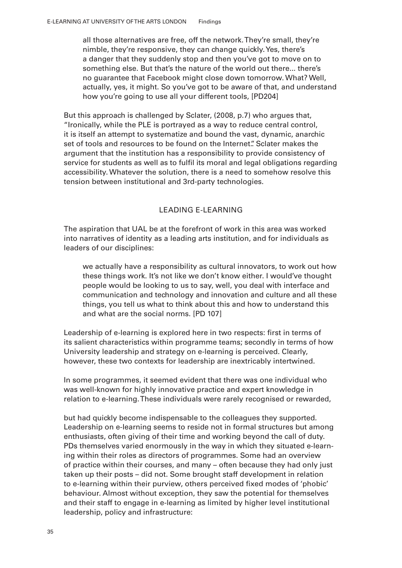all those alternatives are free, off the network. They're small, they're nimble, they're responsive, they can change quickly. Yes, there's a danger that they suddenly stop and then you've got to move on to something else. But that's the nature of the world out there... there's no guarantee that Facebook might close down tomorrow. What? Well, actually, yes, it might. So you've got to be aware of that, and understand how you're going to use all your different tools, [PD204]

But this approach is challenged by Sclater, (2008, p.7) who argues that, "Ironically, while the PLE is portrayed as a way to reduce central control, it is itself an attempt to systematize and bound the vast, dynamic, anarchic set of tools and resources to be found on the Internet.". Sclater makes the argument that the institution has a responsibility to provide consistency of service for students as well as to fulil its moral and legal obligations regarding accessibility. Whatever the solution, there is a need to somehow resolve this tension between institutional and 3rd-party technologies.

### LEADING E-LEARNING

The aspiration that UAL be at the forefront of work in this area was worked into narratives of identity as a leading arts institution, and for individuals as leaders of our disciplines:

we actually have a responsibility as cultural innovators, to work out how these things work. It's not like we don't know either. I would've thought people would be looking to us to say, well, you deal with interface and communication and technology and innovation and culture and all these things, you tell us what to think about this and how to understand this and what are the social norms. [PD 107]

Leadership of e-learning is explored here in two respects: first in terms of its salient characteristics within programme teams; secondly in terms of how University leadership and strategy on e-learning is perceived. Clearly, however, these two contexts for leadership are inextricably intertwined.

In some programmes, it seemed evident that there was one individual who was well-known for highly innovative practice and expert knowledge in relation to e-learning. These individuals were rarely recognised or rewarded,

but had quickly become indispensable to the colleagues they supported. Leadership on e-learning seems to reside not in formal structures but among enthusiasts, often giving of their time and working beyond the call of duty. PDs themselves varied enormously in the way in which they situated e-learning within their roles as directors of programmes. Some had an overview of practice within their courses, and many – often because they had only just taken up their posts – did not. Some brought staff development in relation to e-learning within their purview, others perceived ixed modes of 'phobic' behaviour. Almost without exception, they saw the potential for themselves and their staff to engage in e-learning as limited by higher level institutional leadership, policy and infrastructure: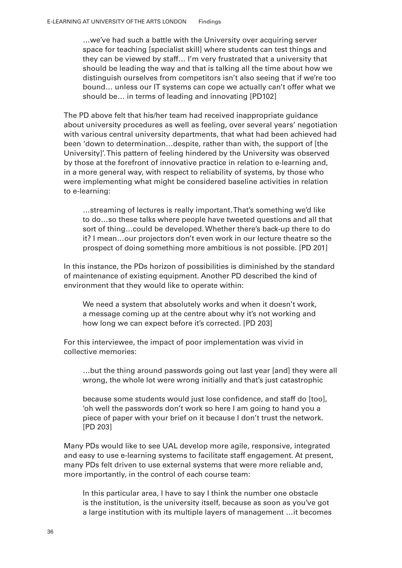…we've had such a battle with the University over acquiring server space for teaching [specialist skill] where students can test things and they can be viewed by staff… I'm very frustrated that a university that should be leading the way and that is talking all the time about how we distinguish ourselves from competitors isn't also seeing that if we're too bound… unless our IT systems can cope we actually can't offer what we should be… in terms of leading and innovating [PD102]

The PD above felt that his/her team had received inappropriate guidance about university procedures as well as feeling, over several years' negotiation with various central university departments, that what had been achieved had been 'down to determination…despite, rather than with, the support of [the University]'. This pattern of feeling hindered by the University was observed by those at the forefront of innovative practice in relation to e-learning and, in a more general way, with respect to reliability of systems, by those who were implementing what might be considered baseline activities in relation to e-learning:

…streaming of lectures is really important. That's something we'd like to do…so these talks where people have tweeted questions and all that sort of thing…could be developed. Whether there's back-up there to do it? I mean…our projectors don't even work in our lecture theatre so the prospect of doing something more ambitious is not possible. [PD 201]

In this instance, the PDs horizon of possibilities is diminished by the standard of maintenance of existing equipment. Another PD described the kind of environment that they would like to operate within:

We need a system that absolutely works and when it doesn't work, a message coming up at the centre about why it's not working and how long we can expect before it's corrected. [PD 203]

For this interviewee, the impact of poor implementation was vivid in collective memories:

…but the thing around passwords going out last year [and] they were all wrong, the whole lot were wrong initially and that's just catastrophic

because some students would just lose confidence, and staff do [too], 'oh well the passwords don't work so here I am going to hand you a piece of paper with your brief on it because I don't trust the network. [PD 203]

Many PDs would like to see UAL develop more agile, responsive, integrated and easy to use e-learning systems to facilitate staff engagement. At present, many PDs felt driven to use external systems that were more reliable and, more importantly, in the control of each course team:

In this particular area, I have to say I think the number one obstacle is the institution, is the university itself, because as soon as you've got a large institution with its multiple layers of management …it becomes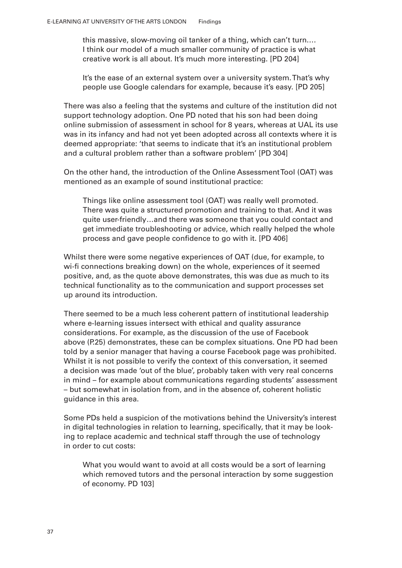this massive, slow-moving oil tanker of a thing, which can't turn.… I think our model of a much smaller community of practice is what creative work is all about. It's much more interesting. [PD 204]

It's the ease of an external system over a university system. That's why people use Google calendars for example, because it's easy. [PD 205]

There was also a feeling that the systems and culture of the institution did not support technology adoption. One PD noted that his son had been doing online submission of assessment in school for 8 years, whereas at UAL its use was in its infancy and had not yet been adopted across all contexts where it is deemed appropriate: 'that seems to indicate that it's an institutional problem and a cultural problem rather than a software problem' [PD 304]

On the other hand, the introduction of the Online Assessment Tool (OAT) was mentioned as an example of sound institutional practice:

Things like online assessment tool (OAT) was really well promoted. There was quite a structured promotion and training to that. And it was quite user-friendly…and there was someone that you could contact and get immediate troubleshooting or advice, which really helped the whole process and gave people confidence to go with it. [PD 406]

Whilst there were some negative experiences of OAT (due, for example, to wi-fi connections breaking down) on the whole, experiences of it seemed positive, and, as the quote above demonstrates, this was due as much to its technical functionality as to the communication and support processes set up around its introduction.

There seemed to be a much less coherent pattern of institutional leadership where e-learning issues intersect with ethical and quality assurance considerations. For example, as the discussion of the use of Facebook above (P.25) demonstrates, these can be complex situations. One PD had been told by a senior manager that having a course Facebook page was prohibited. Whilst it is not possible to verify the context of this conversation, it seemed a decision was made 'out of the blue', probably taken with very real concerns in mind – for example about communications regarding students' assessment – but somewhat in isolation from, and in the absence of, coherent holistic guidance in this area.

Some PDs held a suspicion of the motivations behind the University's interest in digital technologies in relation to learning, specifically, that it may be looking to replace academic and technical staff through the use of technology in order to cut costs:

What you would want to avoid at all costs would be a sort of learning which removed tutors and the personal interaction by some suggestion of economy. PD 103]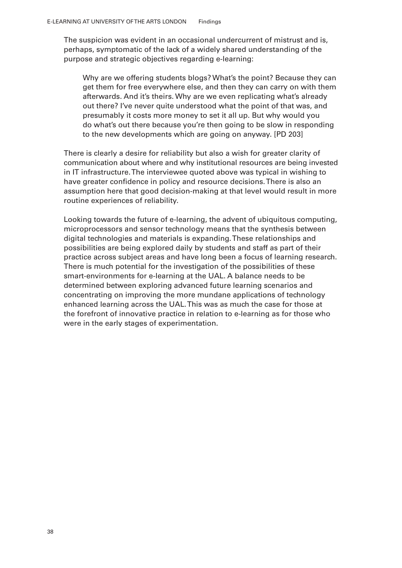The suspicion was evident in an occasional undercurrent of mistrust and is, perhaps, symptomatic of the lack of a widely shared understanding of the purpose and strategic objectives regarding e-learning:

Why are we offering students blogs? What's the point? Because they can get them for free everywhere else, and then they can carry on with them afterwards. And it's theirs. Why are we even replicating what's already out there? I've never quite understood what the point of that was, and presumably it costs more money to set it all up. But why would you do what's out there because you're then going to be slow in responding to the new developments which are going on anyway. [PD 203]

There is clearly a desire for reliability but also a wish for greater clarity of communication about where and why institutional resources are being invested in IT infrastructure. The interviewee quoted above was typical in wishing to have greater confidence in policy and resource decisions. There is also an assumption here that good decision-making at that level would result in more routine experiences of reliability.

Looking towards the future of e-learning, the advent of ubiquitous computing, microprocessors and sensor technology means that the synthesis between digital technologies and materials is expanding. These relationships and possibilities are being explored daily by students and staff as part of their practice across subject areas and have long been a focus of learning research. There is much potential for the investigation of the possibilities of these smart-environments for e-learning at the UAL. A balance needs to be determined between exploring advanced future learning scenarios and concentrating on improving the more mundane applications of technology enhanced learning across the UAL. This was as much the case for those at the forefront of innovative practice in relation to e-learning as for those who were in the early stages of experimentation.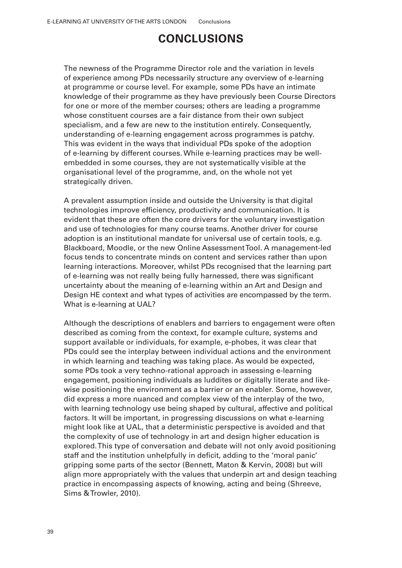# **CONCLUSIONS**

The newness of the Programme Director role and the variation in levels of experience among PDs necessarily structure any overview of e-learning at programme or course level. For example, some PDs have an intimate knowledge of their programme as they have previously been Course Directors for one or more of the member courses; others are leading a programme whose constituent courses are a fair distance from their own subject specialism, and a few are new to the institution entirely. Consequently, understanding of e-learning engagement across programmes is patchy. This was evident in the ways that individual PDs spoke of the adoption of e-learning by different courses. While e-learning practices may be wellembedded in some courses, they are not systematically visible at the organisational level of the programme, and, on the whole not yet strategically driven.

A prevalent assumption inside and outside the University is that digital technologies improve eficiency, productivity and communication. It is evident that these are often the core drivers for the voluntary investigation and use of technologies for many course teams. Another driver for course adoption is an institutional mandate for universal use of certain tools, e.g. Blackboard, Moodle, or the new Online Assessment Tool. A management-led focus tends to concentrate minds on content and services rather than upon learning interactions. Moreover, whilst PDs recognised that the learning part of e-learning was not really being fully harnessed, there was significant uncertainty about the meaning of e-learning within an Art and Design and Design HE context and what types of activities are encompassed by the term. What is e-learning at UAL?

Although the descriptions of enablers and barriers to engagement were often described as coming from the context, for example culture, systems and support available or individuals, for example, e-phobes, it was clear that PDs could see the interplay between individual actions and the environment in which learning and teaching was taking place. As would be expected, some PDs took a very techno-rational approach in assessing e-learning engagement, positioning individuals as luddites or digitally literate and likewise positioning the environment as a barrier or an enabler. Some, however, did express a more nuanced and complex view of the interplay of the two, with learning technology use being shaped by cultural, affective and political factors. It will be important, in progressing discussions on what e-learning might look like at UAL, that a deterministic perspective is avoided and that the complexity of use of technology in art and design higher education is explored. This type of conversation and debate will not only avoid positioning staff and the institution unhelpfully in deicit, adding to the 'moral panic' gripping some parts of the sector (Bennett, Maton & Kervin, 2008) but will align more appropriately with the values that underpin art and design teaching practice in encompassing aspects of knowing, acting and being (Shreeve, Sims & Trowler, 2010).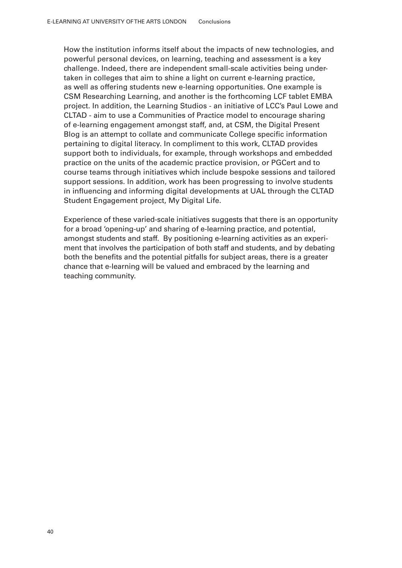How the institution informs itself about the impacts of new technologies, and powerful personal devices, on learning, teaching and assessment is a key challenge. Indeed, there are independent small-scale activities being undertaken in colleges that aim to shine a light on current e-learning practice, as well as offering students new e-learning opportunities. One example is CSM Researching Learning, and another is the forthcoming LCF tablet EMBA project. In addition, the Learning Studios - an initiative of LCC's Paul Lowe and CLTAD - aim to use a Communities of Practice model to encourage sharing of e-learning engagement amongst staff, and, at CSM, the Digital Present Blog is an attempt to collate and communicate College specific information pertaining to digital literacy. In compliment to this work, CLTAD provides support both to individuals, for example, through workshops and embedded practice on the units of the academic practice provision, or PGCert and to course teams through initiatives which include bespoke sessions and tailored support sessions. In addition, work has been progressing to involve students in influencing and informing digital developments at UAL through the CLTAD Student Engagement project, My Digital Life.

Experience of these varied-scale initiatives suggests that there is an opportunity for a broad 'opening-up' and sharing of e-learning practice, and potential, amongst students and staff. By positioning e-learning activities as an experiment that involves the participation of both staff and students, and by debating both the benefits and the potential pitfalls for subject areas, there is a greater chance that e-learning will be valued and embraced by the learning and teaching community.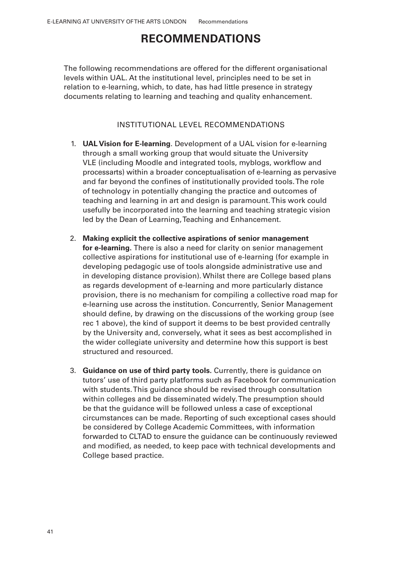# **RECOMMENDATIONS**

The following recommendations are offered for the different organisational levels within UAL. At the institutional level, principles need to be set in relation to e-learning, which, to date, has had little presence in strategy documents relating to learning and teaching and quality enhancement.

### INSTITUTIONAL LEVEL RECOMMENDATIONS

- **UAL Vision for E-learning**. Development of a UAL vision for e-learning 1. through a small working group that would situate the University VLE (including Moodle and integrated tools, myblogs, worklow and processarts) within a broader conceptualisation of e-learning as pervasive and far beyond the confines of institutionally provided tools. The role of technology in potentially changing the practice and outcomes of teaching and learning in art and design is paramount. This work could usefully be incorporated into the learning and teaching strategic vision led by the Dean of Learning, Teaching and Enhancement.
- **Making explicit the collective aspirations of senior management**  2. **for e-learning.** There is also a need for clarity on senior management collective aspirations for institutional use of e-learning (for example in developing pedagogic use of tools alongside administrative use and in developing distance provision). Whilst there are College based plans as regards development of e-learning and more particularly distance provision, there is no mechanism for compiling a collective road map for e-learning use across the institution. Concurrently, Senior Management should define, by drawing on the discussions of the working group (see rec 1 above), the kind of support it deems to be best provided centrally by the University and, conversely, what it sees as best accomplished in the wider collegiate university and determine how this support is best structured and resourced.
- **Guidance on use of third party tools.** Currently, there is guidance on 3.tutors' use of third party platforms such as Facebook for communication with students. This guidance should be revised through consultation within colleges and be disseminated widely. The presumption should be that the guidance will be followed unless a case of exceptional circumstances can be made. Reporting of such exceptional cases should be considered by College Academic Committees, with information forwarded to CLTAD to ensure the guidance can be continuously reviewed and modified, as needed, to keep pace with technical developments and College based practice.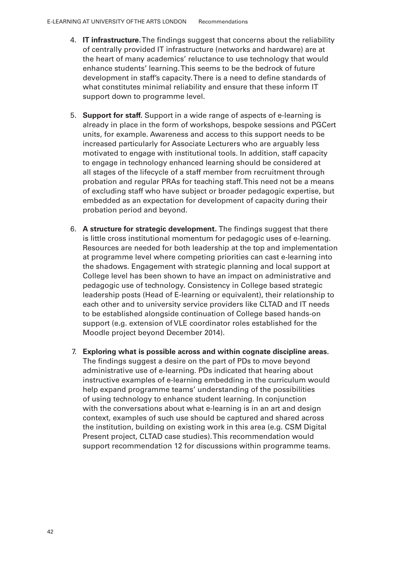- 4. **IT infrastructure.** The indings suggest that concerns about the reliability of centrally provided IT infrastructure (networks and hardware) are at the heart of many academics' reluctance to use technology that would enhance students' learning. This seems to be the bedrock of future development in staff's capacity. There is a need to define standards of what constitutes minimal reliability and ensure that these inform IT support down to programme level.
- 5. **Support for staff.** Support in a wide range of aspects of e-learning is already in place in the form of workshops, bespoke sessions and PGCert units, for example. Awareness and access to this support needs to be increased particularly for Associate Lecturers who are arguably less motivated to engage with institutional tools. In addition, staff capacity to engage in technology enhanced learning should be considered at all stages of the lifecycle of a staff member from recruitment through probation and regular PRAs for teaching staff. This need not be a means of excluding staff who have subject or broader pedagogic expertise, but embedded as an expectation for development of capacity during their probation period and beyond.
- 6. A structure for strategic development. The findings suggest that there is little cross institutional momentum for pedagogic uses of e-learning. Resources are needed for both leadership at the top and implementation at programme level where competing priorities can cast e-learning into the shadows. Engagement with strategic planning and local support at College level has been shown to have an impact on administrative and pedagogic use of technology. Consistency in College based strategic leadership posts (Head of E-learning or equivalent), their relationship to each other and to university service providers like CLTAD and IT needs to be established alongside continuation of College based hands-on support (e.g. extension of VLE coordinator roles established for the Moodle project beyond December 2014).
- 7. **Exploring what is possible across and within cognate discipline areas.**  The findings suggest a desire on the part of PDs to move beyond administrative use of e-learning. PDs indicated that hearing about instructive examples of e-learning embedding in the curriculum would help expand programme teams' understanding of the possibilities of using technology to enhance student learning. In conjunction with the conversations about what e-learning is in an art and design context, examples of such use should be captured and shared across the institution, building on existing work in this area (e.g. CSM Digital Present project, CLTAD case studies). This recommendation would support recommendation 12 for discussions within programme teams.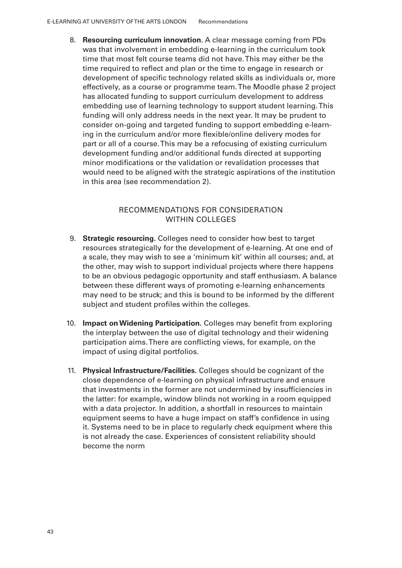**Resourcing curriculum innovation**. A clear message coming from PDs 8. was that involvement in embedding e-learning in the curriculum took time that most felt course teams did not have. This may either be the time required to reflect and plan or the time to engage in research or development of specific technology related skills as individuals or, more effectively, as a course or programme team. The Moodle phase 2 project has allocated funding to support curriculum development to address embedding use of learning technology to support student learning. This funding will only address needs in the next year. It may be prudent to consider on-going and targeted funding to support embedding e-learning in the curriculum and/or more lexible/online delivery modes for part or all of a course. This may be a refocusing of existing curriculum development funding and/or additional funds directed at supporting minor modifications or the validation or revalidation processes that would need to be aligned with the strategic aspirations of the institution in this area (see recommendation 2).

### RECOMMENDATIONS FOR CONSIDERATION WITHIN COLLEGES

- **Strategic resourcing.** Colleges need to consider how best to target 9. resources strategically for the development of e-learning. At one end of a scale, they may wish to see a 'minimum kit' within all courses; and, at the other, may wish to support individual projects where there happens to be an obvious pedagogic opportunity and staff enthusiasm. A balance between these different ways of promoting e-learning enhancements may need to be struck; and this is bound to be informed by the different subject and student profiles within the colleges.
- 10. **Impact on Widening Participation**. Colleges may benefit from exploring the interplay between the use of digital technology and their widening participation aims. There are conflicting views, for example, on the impact of using digital portfolios.
- **Physical Infrastructure/Facilities.** Colleges should be cognizant of the 11.close dependence of e-learning on physical infrastructure and ensure that investments in the former are not undermined by insuficiencies in the latter: for example, window blinds not working in a room equipped with a data projector. In addition, a shortfall in resources to maintain equipment seems to have a huge impact on staff's confidence in using it. Systems need to be in place to regularly check equipment where this is not already the case. Experiences of consistent reliability should become the norm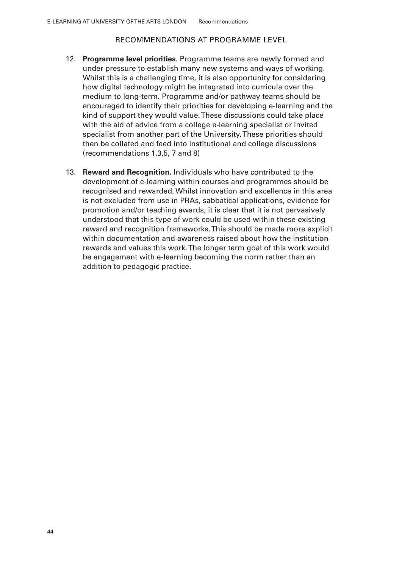### RECOMMENDATIONS AT PROGRAMME LEVEL

- **Programme level priorities**. Programme teams are newly formed and 12. under pressure to establish many new systems and ways of working. Whilst this is a challenging time, it is also opportunity for considering how digital technology might be integrated into curricula over the medium to long-term. Programme and/or pathway teams should be encouraged to identify their priorities for developing e-learning and the kind of support they would value. These discussions could take place with the aid of advice from a college e-learning specialist or invited specialist from another part of the University. These priorities should then be collated and feed into institutional and college discussions (recommendations 1,3,5, 7 and 8)
- **Reward and Recognition.** Individuals who have contributed to the 13.development of e-learning within courses and programmes should be recognised and rewarded. Whilst innovation and excellence in this area is not excluded from use in PRAs, sabbatical applications, evidence for promotion and/or teaching awards, it is clear that it is not pervasively understood that this type of work could be used within these existing reward and recognition frameworks. This should be made more explicit within documentation and awareness raised about how the institution rewards and values this work. The longer term goal of this work would be engagement with e-learning becoming the norm rather than an addition to pedagogic practice.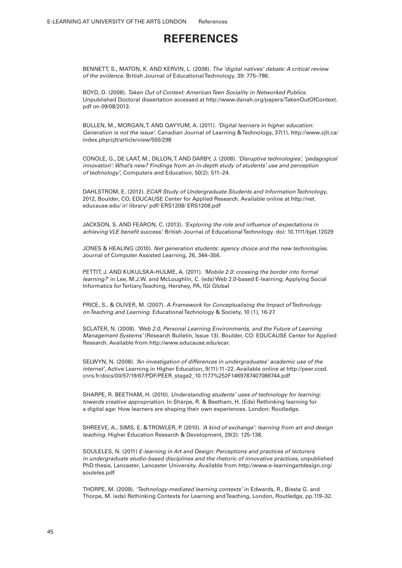## **REFERENCES**

BENNETT, S., MATON, K. AND KERVIN, L. (2008). The 'digital natives' debate: A critical review of the evidence. British Journal of Educational Technology, 39: 775–786.

BOYD, D. (2008). Taken Out of Context: American Teen Sociality in Networked Publics. Unpublished Doctoral dissertation accessed at http://www.danah.org/papers/TakenOutOfContext. pdf on 09/08/2013.

BULLEN, M., MORGAN, T. AND QAYYUM, A. (2011). 'Digital learners in higher education: Generation is not the issue'. Canadian Journal of Learning & Technology, 37(1). http://www.cjlt.ca/ index.php/cjlt/article/view/550/298

CONOLE, G., DE LAAT, M., DILLON, T. AND DARBY, J. (2008). 'Disruptive technologies', 'pedagogical innovation': What's new? Findings from an in-depth study of students' use and perception of technology', Computers and Education, 50(2): 511–24.

DAHLSTROM, E. (2012). ECAR Study of Undergraduate Students and Information Technology, 2012, Boulder, CO, EDUCAUSE Center for Applied Research. Available online at http://net. educause.edu/ ir/ library/ pdf/ ERS1208/ ERS1208.pdf

JACKSON, S. AND FEARON, C. (2013). 'Exploring the role and inluence of expectations in achieving VLE benefit success.' British Journal of Educational Technology. doi: 10.1111/bjet.12029

JONES & HEALING (2010). Net generation students: agency choice and the new technologies. Journal of Computer Assisted Learning, 26, 344–356.

PETTIT, J. AND KUKULSKA-HULME, A. (2011). 'Mobile 2.0: crossing the border into formal learning?' in Lee, M.J.W. and McLoughlin, C. (eds) Web 2.0-based E-learning: Applying Social Informatics for Tertiary Teaching, Hershey, PA, IGI Global

PRICE, S., & OLIVER, M. (2007). A Framework for Conceptualising the Impact of Technology on Teaching and Learning. Educational Technology & Society, 10 (1), 16-27.

SCLATER, N. (2008). 'Web 2.0, Personal Learning Environments, and the Future of Learning Management Systems' (Research Bulletin, Issue 13). Boulder, CO: EDUCAUSE Center for Applied Research. Available from http://www.educause.edu/ecar.

SELWYN, N. (2008). 'An investigation of differences in undergraduates' academic use of the internet', Active Learning in Higher Education, 9(11):11–22. Available online at http://peer.ccsd. cnrs.fr/docs/00/57/19/67/PDF/PEER\_stage2\_10.1177%252F1469787407086744.pdf

SHARPE, R. BEETHAM, H. (2010). Understanding students' uses of technology for learning: towards creative appropriation. In Sharpe, R. & Beetham, H. (Eds) Rethinking learning for a digital age: How learners are shaping their own experiences. London: Routledge.

SHREEVE, A., SIMS, E. & TROWLER, P. (2010). 'A kind of exchange': learning from art and design teaching. Higher Education Research & Development, 29(2): 125-138.

SOULELES, N. (2011) E-learning in Art and Design: Perceptions and practices of lecturers in undergraduate studio-based disciplines and the rhetoric of innovative practices, unpublished PhD thesis, Lancaster, Lancaster University. Available from http://www.e-learningartdesign.org/ souleles.pdf

THORPE, M. (2009). 'Technology-mediated learning contexts' in Edwards, R., Biesta G. and Thorpe, M. (eds) Rethinking Contexts for Learning and Teaching, London, Routledge, pp.119–32.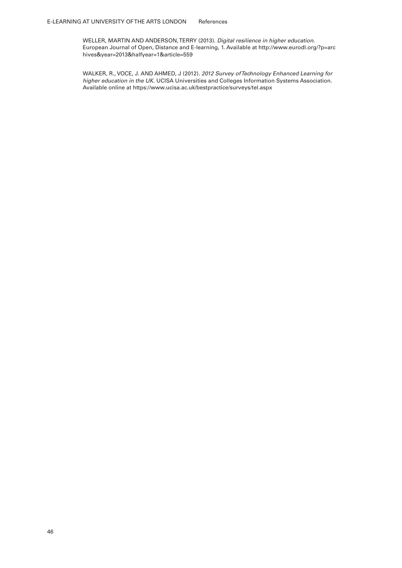WELLER, MARTIN AND ANDERSON, TERRY (2013). Digital resilience in higher education. European Journal of Open, Distance and E-learning, 1. Available at http://www.eurodl.org/?p=arc hives&year=2013&halfyear=1&article=559

WALKER, R., VOCE, J. AND AHMED, J (2012). 2012 Survey of Technology Enhanced Learning for higher education in the UK. UCISA Universities and Colleges Information Systems Association. Available online at https://www.ucisa.ac.uk/bestpractice/surveys/tel.aspx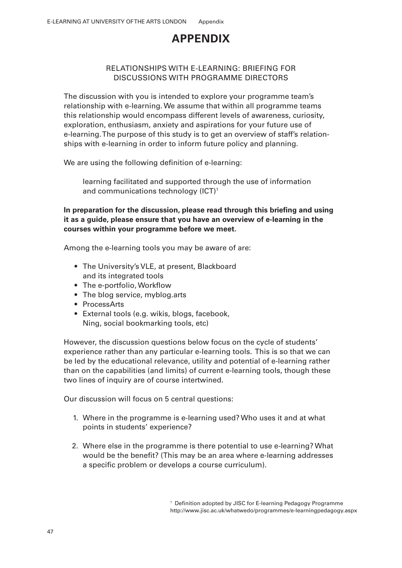# **APPENDIX**

### RELATIONSHIPS WITH E-LEARNING: BRIEFING FOR DISCUSSIONS WITH PROGRAMME DIRECTORS

The discussion with you is intended to explore your programme team's relationship with e-learning. We assume that within all programme teams this relationship would encompass different levels of awareness, curiosity, exploration, enthusiasm, anxiety and aspirations for your future use of e-learning. The purpose of this study is to get an overview of staff's relationships with e-learning in order to inform future policy and planning.

We are using the following definition of e-learning:

learning facilitated and supported through the use of information and communications technology (ICT)<sup>1</sup>

### In preparation for the discussion, please read through this briefing and using **it as a guide, please ensure that you have an overview of e-learning in the courses within your programme before we meet.**

Among the e-learning tools you may be aware of are:

- The University's VLE, at present, Blackboard and its integrated tools
- The e-portfolio, Workflow
- The blog service, myblog.arts
- ProcessArts
- External tools (e.g. wikis, blogs, facebook, Ning, social bookmarking tools, etc)

However, the discussion questions below focus on the cycle of students' experience rather than any particular e-learning tools. This is so that we can be led by the educational relevance, utility and potential of e-learning rather than on the capabilities (and limits) of current e-learning tools, though these two lines of inquiry are of course intertwined.

Our discussion will focus on 5 central questions:

- 1. Where in the programme is e-learning used? Who uses it and at what points in students' experience?
- 2. Where else in the programme is there potential to use e-learning? What would be the benefit? (This may be an area where e-learning addresses a specific problem or develops a course curriculum).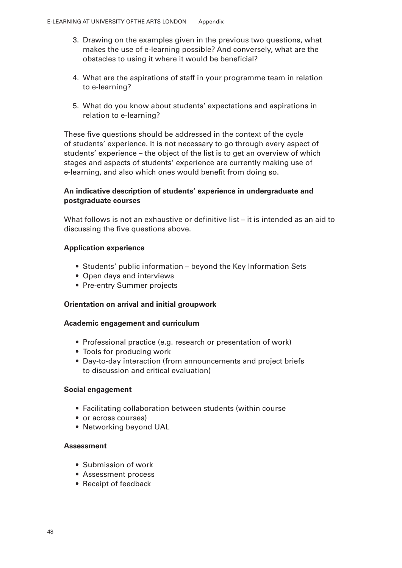- 3. Drawing on the examples given in the previous two questions, what makes the use of e-learning possible? And conversely, what are the obstacles to using it where it would be beneficial?
- What are the aspirations of staff in your programme team in relation 4. to e-learning?
- What do you know about students' expectations and aspirations in 5. relation to e-learning?

These five questions should be addressed in the context of the cycle of students' experience. It is not necessary to go through every aspect of students' experience – the object of the list is to get an overview of which stages and aspects of students' experience are currently making use of e-learning, and also which ones would benefit from doing so.

### **An indicative description of students' experience in undergraduate and postgraduate courses**

What follows is not an exhaustive or definitive list – it is intended as an aid to discussing the five questions above.

### **Application experience**

- Students' public information beyond the Key Information Sets
- Open days and interviews
- Pre-entry Summer projects

### **Orientation on arrival and initial groupwork**

### **Academic engagement and curriculum**

- Professional practice (e.g. research or presentation of work)
- Tools for producing work
- Day-to-day interaction (from announcements and project briefs to discussion and critical evaluation)

### **Social engagement**

- Facilitating collaboration between students (within course
- or across courses)
- Networking beyond UAL

### **Assessment**

- Submission of work
- Assessment process •
- Receipt of feedback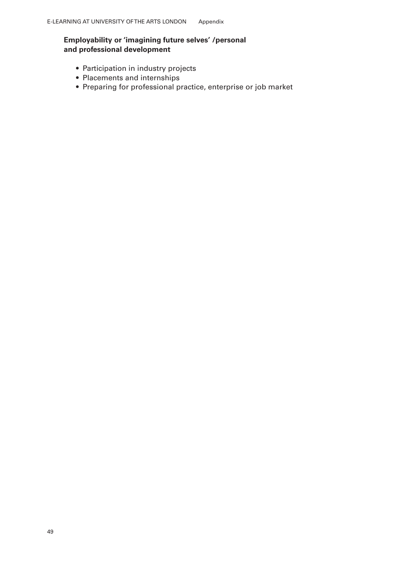### **Employability or 'imagining future selves' /personal and professional development**

- Participation in industry projects
- Placements and internships
- Preparing for professional practice, enterprise or job market